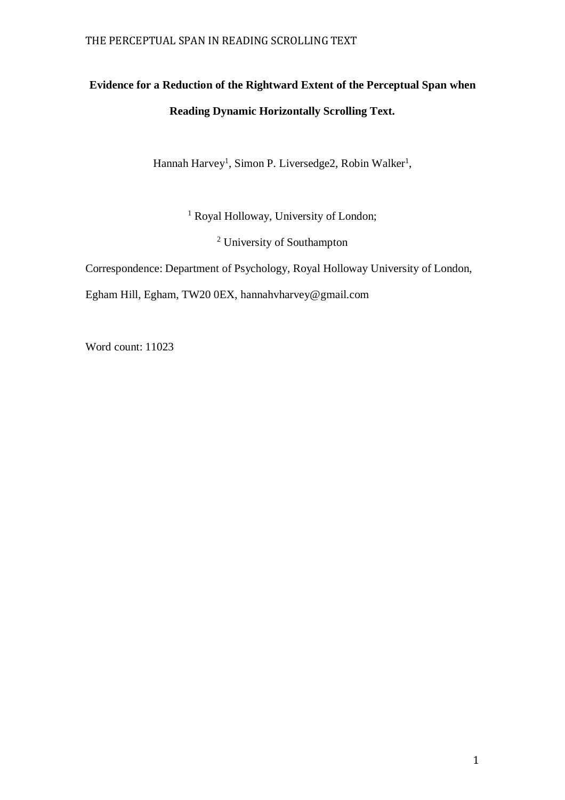# **Evidence for a Reduction of the Rightward Extent of the Perceptual Span when Reading Dynamic Horizontally Scrolling Text.**

Hannah Harvey<sup>1</sup>, Simon P. Liversedge2, Robin Walker<sup>1</sup>,

<sup>1</sup> Royal Holloway, University of London;

<sup>2</sup> University of Southampton

Correspondence: Department of Psychology, Royal Holloway University of London,

Egham Hill, Egham, TW20 0EX, hannahvharvey@gmail.com

Word count: 11023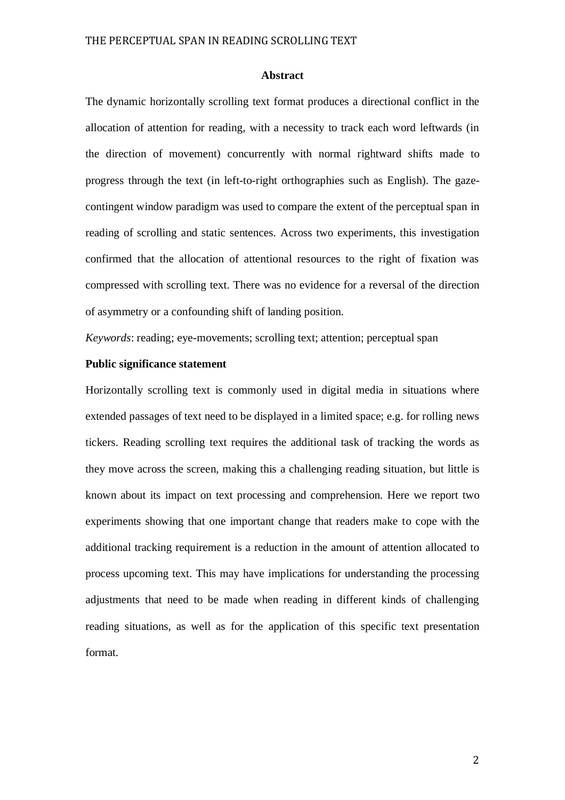#### **Abstract**

The dynamic horizontally scrolling text format produces a directional conflict in the allocation of attention for reading, with a necessity to track each word leftwards (in the direction of movement) concurrently with normal rightward shifts made to progress through the text (in left-to-right orthographies such as English). The gazecontingent window paradigm was used to compare the extent of the perceptual span in reading of scrolling and static sentences. Across two experiments, this investigation confirmed that the allocation of attentional resources to the right of fixation was compressed with scrolling text. There was no evidence for a reversal of the direction of asymmetry or a confounding shift of landing position.

*Keywords*: reading; eye-movements; scrolling text; attention; perceptual span

## **Public significance statement**

Horizontally scrolling text is commonly used in digital media in situations where extended passages of text need to be displayed in a limited space; e.g. for rolling news tickers. Reading scrolling text requires the additional task of tracking the words as they move across the screen, making this a challenging reading situation, but little is known about its impact on text processing and comprehension. Here we report two experiments showing that one important change that readers make to cope with the additional tracking requirement is a reduction in the amount of attention allocated to process upcoming text. This may have implications for understanding the processing adjustments that need to be made when reading in different kinds of challenging reading situations, as well as for the application of this specific text presentation format.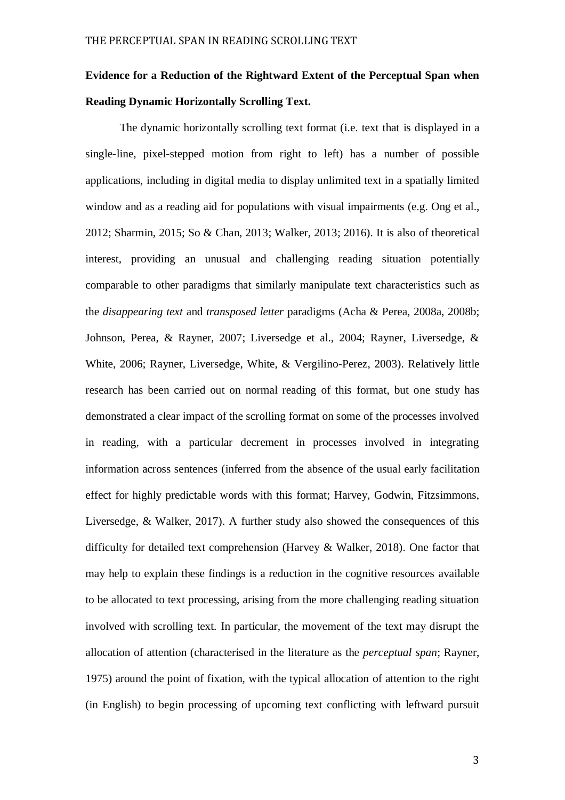# **Evidence for a Reduction of the Rightward Extent of the Perceptual Span when Reading Dynamic Horizontally Scrolling Text.**

The dynamic horizontally scrolling text format (i.e. text that is displayed in a single-line, pixel-stepped motion from right to left) has a number of possible applications, including in digital media to display unlimited text in a spatially limited window and as a reading aid for populations with visual impairments (e.g. Ong et al., 2012; Sharmin, 2015; So & Chan, 2013; Walker, 2013; 2016). It is also of theoretical interest, providing an unusual and challenging reading situation potentially comparable to other paradigms that similarly manipulate text characteristics such as the *disappearing text* and *transposed letter* paradigms (Acha & Perea, 2008a, 2008b; Johnson, Perea, & Rayner, 2007; Liversedge et al., 2004; Rayner, Liversedge, & White, 2006; Rayner, Liversedge, White, & Vergilino-Perez, 2003). Relatively little research has been carried out on normal reading of this format, but one study has demonstrated a clear impact of the scrolling format on some of the processes involved in reading, with a particular decrement in processes involved in integrating information across sentences (inferred from the absence of the usual early facilitation effect for highly predictable words with this format; Harvey, Godwin, Fitzsimmons, Liversedge, & Walker, 2017). A further study also showed the consequences of this difficulty for detailed text comprehension (Harvey & Walker, 2018). One factor that may help to explain these findings is a reduction in the cognitive resources available to be allocated to text processing, arising from the more challenging reading situation involved with scrolling text. In particular, the movement of the text may disrupt the allocation of attention (characterised in the literature as the *perceptual span*; Rayner, 1975) around the point of fixation, with the typical allocation of attention to the right (in English) to begin processing of upcoming text conflicting with leftward pursuit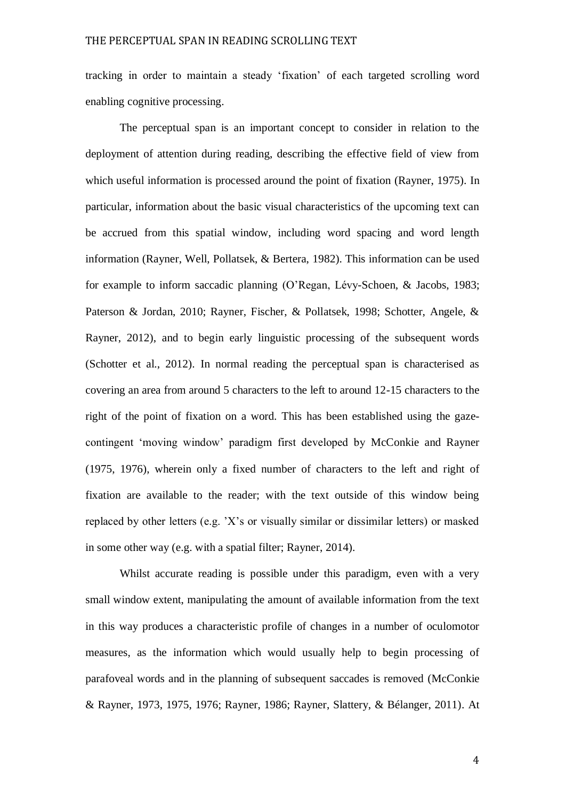tracking in order to maintain a steady 'fixation' of each targeted scrolling word enabling cognitive processing.

The perceptual span is an important concept to consider in relation to the deployment of attention during reading, describing the effective field of view from which useful information is processed around the point of fixation (Rayner, 1975). In particular, information about the basic visual characteristics of the upcoming text can be accrued from this spatial window, including word spacing and word length information (Rayner, Well, Pollatsek, & Bertera, 1982). This information can be used for example to inform saccadic planning (O'Regan, Lévy-Schoen, & Jacobs, 1983; Paterson & Jordan, 2010; Rayner, Fischer, & Pollatsek, 1998; Schotter, Angele, & Rayner, 2012), and to begin early linguistic processing of the subsequent words (Schotter et al., 2012). In normal reading the perceptual span is characterised as covering an area from around 5 characters to the left to around 12-15 characters to the right of the point of fixation on a word. This has been established using the gazecontingent 'moving window' paradigm first developed by McConkie and Rayner (1975, 1976), wherein only a fixed number of characters to the left and right of fixation are available to the reader; with the text outside of this window being replaced by other letters (e.g. 'X's or visually similar or dissimilar letters) or masked in some other way (e.g. with a spatial filter; Rayner, 2014).

Whilst accurate reading is possible under this paradigm, even with a very small window extent, manipulating the amount of available information from the text in this way produces a characteristic profile of changes in a number of oculomotor measures, as the information which would usually help to begin processing of parafoveal words and in the planning of subsequent saccades is removed (McConkie & Rayner, 1973, 1975, 1976; Rayner, 1986; Rayner, Slattery, & Bélanger, 2011). At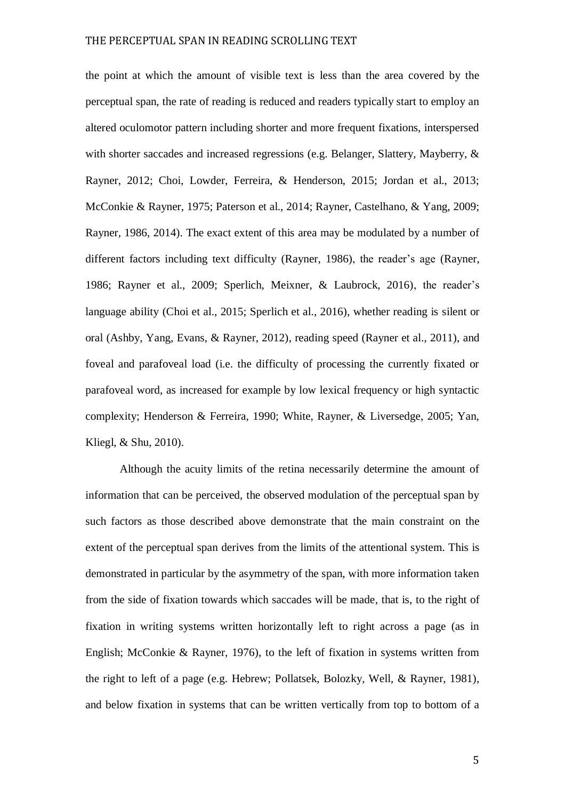the point at which the amount of visible text is less than the area covered by the perceptual span, the rate of reading is reduced and readers typically start to employ an altered oculomotor pattern including shorter and more frequent fixations, interspersed with shorter saccades and increased regressions (e.g. Belanger, Slattery, Mayberry, & Rayner, 2012; Choi, Lowder, Ferreira, & Henderson, 2015; Jordan et al., 2013; McConkie & Rayner, 1975; Paterson et al., 2014; Rayner, Castelhano, & Yang, 2009; Rayner, 1986, 2014). The exact extent of this area may be modulated by a number of different factors including text difficulty (Rayner, 1986), the reader's age (Rayner, 1986; Rayner et al., 2009; Sperlich, Meixner, & Laubrock, 2016), the reader's language ability (Choi et al., 2015; Sperlich et al., 2016), whether reading is silent or oral (Ashby, Yang, Evans, & Rayner, 2012), reading speed (Rayner et al., 2011), and foveal and parafoveal load (i.e. the difficulty of processing the currently fixated or parafoveal word, as increased for example by low lexical frequency or high syntactic complexity; Henderson & Ferreira, 1990; White, Rayner, & Liversedge, 2005; Yan, Kliegl, & Shu, 2010).

Although the acuity limits of the retina necessarily determine the amount of information that can be perceived, the observed modulation of the perceptual span by such factors as those described above demonstrate that the main constraint on the extent of the perceptual span derives from the limits of the attentional system. This is demonstrated in particular by the asymmetry of the span, with more information taken from the side of fixation towards which saccades will be made, that is, to the right of fixation in writing systems written horizontally left to right across a page (as in English; McConkie & Rayner, 1976), to the left of fixation in systems written from the right to left of a page (e.g. Hebrew; Pollatsek, Bolozky, Well, & Rayner, 1981), and below fixation in systems that can be written vertically from top to bottom of a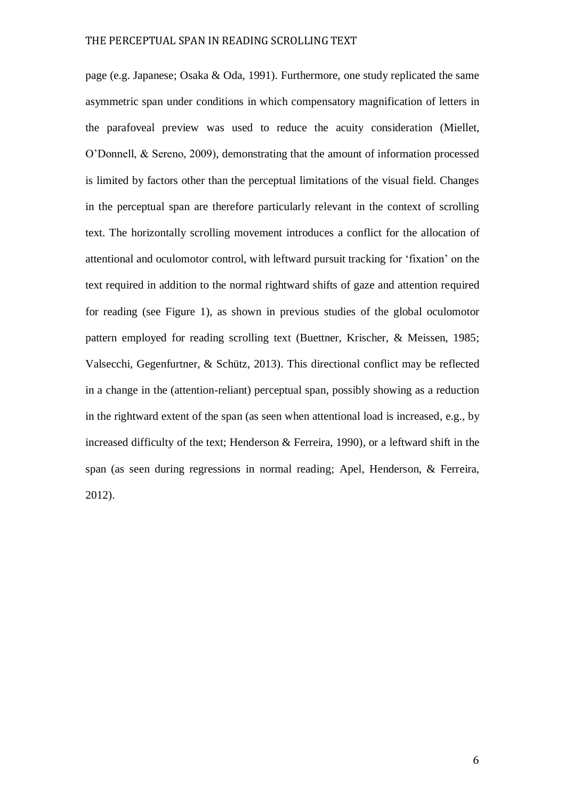page (e.g. Japanese; Osaka & Oda, 1991). Furthermore, one study replicated the same asymmetric span under conditions in which compensatory magnification of letters in the parafoveal preview was used to reduce the acuity consideration (Miellet, O'Donnell, & Sereno, 2009), demonstrating that the amount of information processed is limited by factors other than the perceptual limitations of the visual field. Changes in the perceptual span are therefore particularly relevant in the context of scrolling text. The horizontally scrolling movement introduces a conflict for the allocation of attentional and oculomotor control, with leftward pursuit tracking for 'fixation' on the text required in addition to the normal rightward shifts of gaze and attention required for reading (see Figure 1), as shown in previous studies of the global oculomotor pattern employed for reading scrolling text (Buettner, Krischer, & Meissen, 1985; Valsecchi, Gegenfurtner, & Schütz, 2013). This directional conflict may be reflected in a change in the (attention-reliant) perceptual span, possibly showing as a reduction in the rightward extent of the span (as seen when attentional load is increased, e.g., by increased difficulty of the text; Henderson & Ferreira, 1990), or a leftward shift in the span (as seen during regressions in normal reading; Apel, Henderson, & Ferreira, 2012).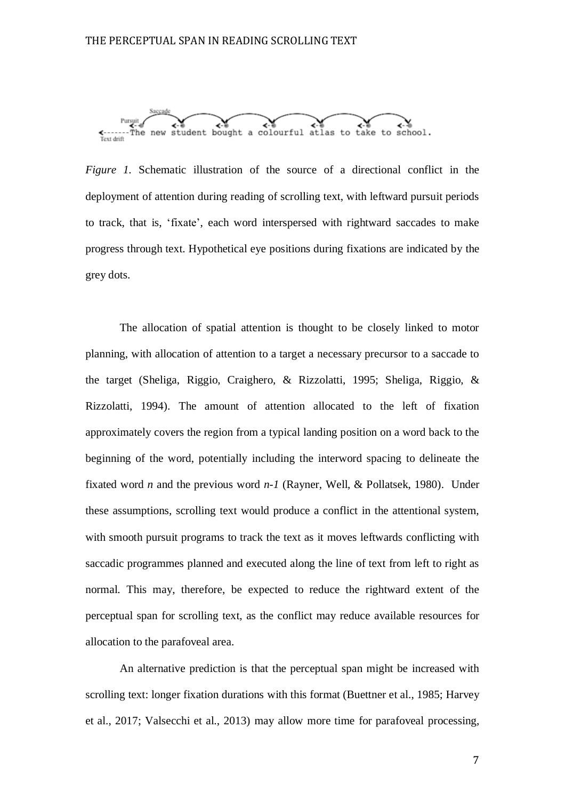

*Figure 1.* Schematic illustration of the source of a directional conflict in the deployment of attention during reading of scrolling text, with leftward pursuit periods to track, that is, 'fixate', each word interspersed with rightward saccades to make progress through text. Hypothetical eye positions during fixations are indicated by the grey dots.

The allocation of spatial attention is thought to be closely linked to motor planning, with allocation of attention to a target a necessary precursor to a saccade to the target (Sheliga, Riggio, Craighero, & Rizzolatti, 1995; Sheliga, Riggio, & Rizzolatti, 1994). The amount of attention allocated to the left of fixation approximately covers the region from a typical landing position on a word back to the beginning of the word, potentially including the interword spacing to delineate the fixated word *n* and the previous word *n-1* (Rayner, Well, & Pollatsek, 1980). Under these assumptions, scrolling text would produce a conflict in the attentional system, with smooth pursuit programs to track the text as it moves leftwards conflicting with saccadic programmes planned and executed along the line of text from left to right as normal. This may, therefore, be expected to reduce the rightward extent of the perceptual span for scrolling text, as the conflict may reduce available resources for allocation to the parafoveal area.

An alternative prediction is that the perceptual span might be increased with scrolling text: longer fixation durations with this format (Buettner et al., 1985; Harvey et al., 2017; Valsecchi et al., 2013) may allow more time for parafoveal processing,

7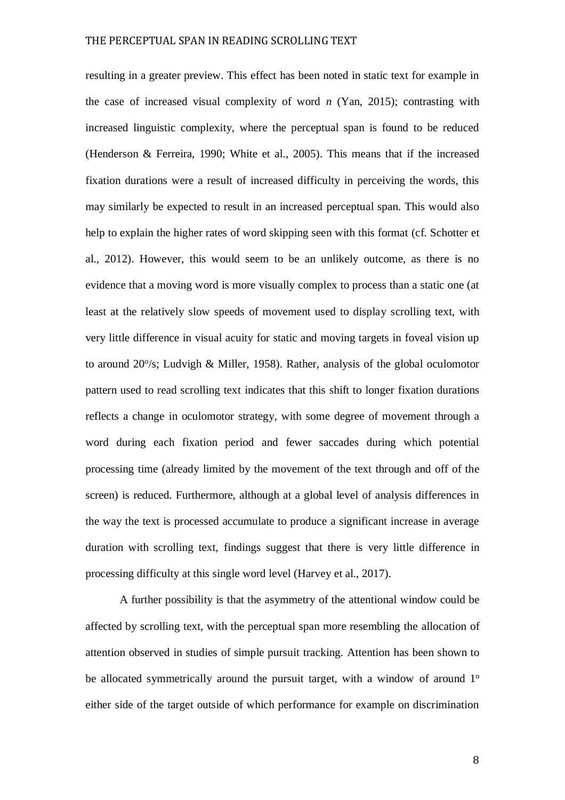resulting in a greater preview. This effect has been noted in static text for example in the case of increased visual complexity of word *n* (Yan, 2015); contrasting with increased linguistic complexity, where the perceptual span is found to be reduced (Henderson & Ferreira, 1990; White et al., 2005). This means that if the increased fixation durations were a result of increased difficulty in perceiving the words, this may similarly be expected to result in an increased perceptual span. This would also help to explain the higher rates of word skipping seen with this format (cf. Schotter et al., 2012). However, this would seem to be an unlikely outcome, as there is no evidence that a moving word is more visually complex to process than a static one (at least at the relatively slow speeds of movement used to display scrolling text, with very little difference in visual acuity for static and moving targets in foveal vision up to around 20%; Ludvigh & Miller, 1958). Rather, analysis of the global oculomotor pattern used to read scrolling text indicates that this shift to longer fixation durations reflects a change in oculomotor strategy, with some degree of movement through a word during each fixation period and fewer saccades during which potential processing time (already limited by the movement of the text through and off of the screen) is reduced. Furthermore, although at a global level of analysis differences in the way the text is processed accumulate to produce a significant increase in average duration with scrolling text, findings suggest that there is very little difference in processing difficulty at this single word level (Harvey et al., 2017).

A further possibility is that the asymmetry of the attentional window could be affected by scrolling text, with the perceptual span more resembling the allocation of attention observed in studies of simple pursuit tracking. Attention has been shown to be allocated symmetrically around the pursuit target, with a window of around  $1^\circ$ either side of the target outside of which performance for example on discrimination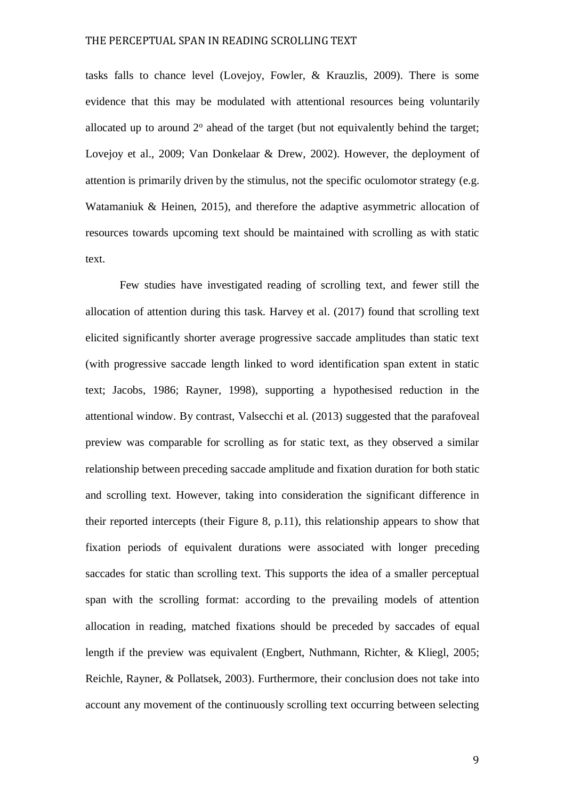tasks falls to chance level (Lovejoy, Fowler, & Krauzlis, 2009). There is some evidence that this may be modulated with attentional resources being voluntarily allocated up to around  $2^{\circ}$  ahead of the target (but not equivalently behind the target; Lovejoy et al., 2009; Van Donkelaar & Drew, 2002). However, the deployment of attention is primarily driven by the stimulus, not the specific oculomotor strategy (e.g. Watamaniuk & Heinen, 2015), and therefore the adaptive asymmetric allocation of resources towards upcoming text should be maintained with scrolling as with static text.

Few studies have investigated reading of scrolling text, and fewer still the allocation of attention during this task. Harvey et al. (2017) found that scrolling text elicited significantly shorter average progressive saccade amplitudes than static text (with progressive saccade length linked to word identification span extent in static text; Jacobs, 1986; Rayner, 1998), supporting a hypothesised reduction in the attentional window. By contrast, Valsecchi et al. (2013) suggested that the parafoveal preview was comparable for scrolling as for static text, as they observed a similar relationship between preceding saccade amplitude and fixation duration for both static and scrolling text. However, taking into consideration the significant difference in their reported intercepts (their Figure 8, p.11), this relationship appears to show that fixation periods of equivalent durations were associated with longer preceding saccades for static than scrolling text. This supports the idea of a smaller perceptual span with the scrolling format: according to the prevailing models of attention allocation in reading, matched fixations should be preceded by saccades of equal length if the preview was equivalent (Engbert, Nuthmann, Richter, & Kliegl, 2005; Reichle, Rayner, & Pollatsek, 2003). Furthermore, their conclusion does not take into account any movement of the continuously scrolling text occurring between selecting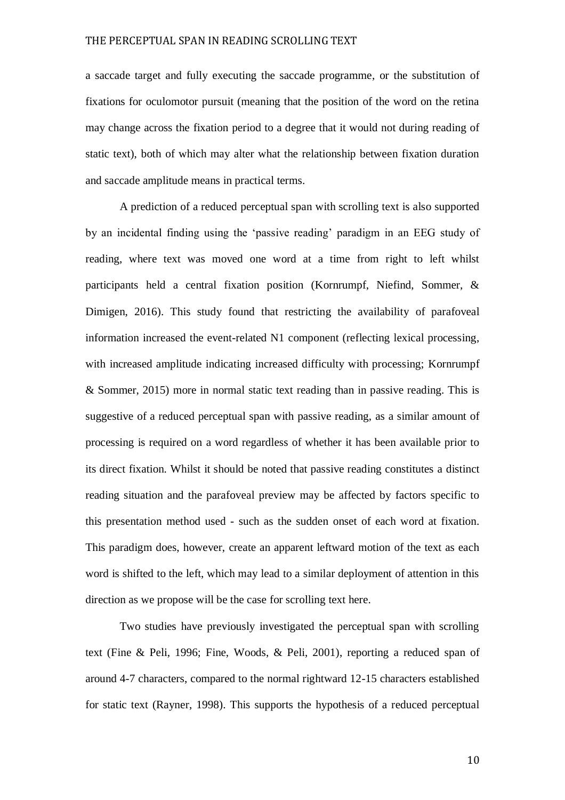a saccade target and fully executing the saccade programme, or the substitution of fixations for oculomotor pursuit (meaning that the position of the word on the retina may change across the fixation period to a degree that it would not during reading of static text), both of which may alter what the relationship between fixation duration and saccade amplitude means in practical terms.

A prediction of a reduced perceptual span with scrolling text is also supported by an incidental finding using the 'passive reading' paradigm in an EEG study of reading, where text was moved one word at a time from right to left whilst participants held a central fixation position (Kornrumpf, Niefind, Sommer, & Dimigen, 2016). This study found that restricting the availability of parafoveal information increased the event-related N1 component (reflecting lexical processing, with increased amplitude indicating increased difficulty with processing; Kornrumpf & Sommer, 2015) more in normal static text reading than in passive reading. This is suggestive of a reduced perceptual span with passive reading, as a similar amount of processing is required on a word regardless of whether it has been available prior to its direct fixation. Whilst it should be noted that passive reading constitutes a distinct reading situation and the parafoveal preview may be affected by factors specific to this presentation method used - such as the sudden onset of each word at fixation. This paradigm does, however, create an apparent leftward motion of the text as each word is shifted to the left, which may lead to a similar deployment of attention in this direction as we propose will be the case for scrolling text here.

Two studies have previously investigated the perceptual span with scrolling text (Fine & Peli, 1996; Fine, Woods, & Peli, 2001), reporting a reduced span of around 4-7 characters, compared to the normal rightward 12-15 characters established for static text (Rayner, 1998). This supports the hypothesis of a reduced perceptual

10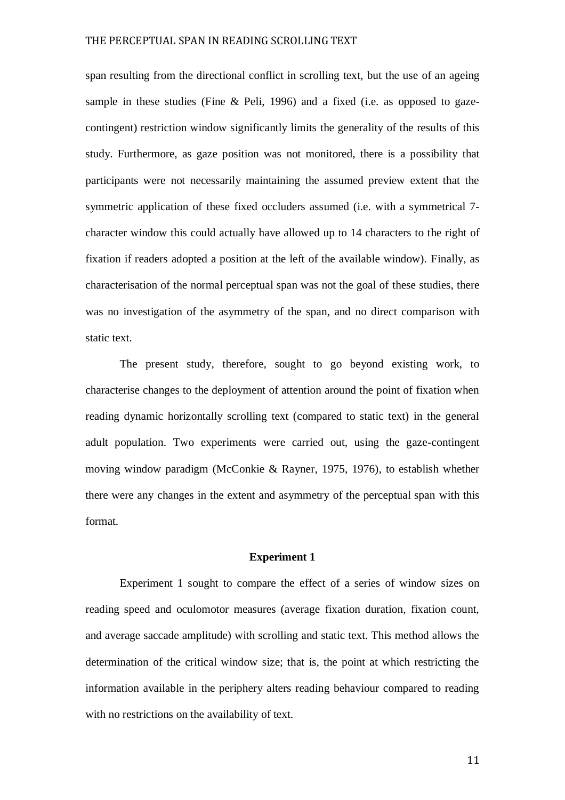span resulting from the directional conflict in scrolling text, but the use of an ageing sample in these studies (Fine & Peli, 1996) and a fixed (i.e. as opposed to gazecontingent) restriction window significantly limits the generality of the results of this study. Furthermore, as gaze position was not monitored, there is a possibility that participants were not necessarily maintaining the assumed preview extent that the symmetric application of these fixed occluders assumed (i.e. with a symmetrical 7 character window this could actually have allowed up to 14 characters to the right of fixation if readers adopted a position at the left of the available window). Finally, as characterisation of the normal perceptual span was not the goal of these studies, there was no investigation of the asymmetry of the span, and no direct comparison with static text.

The present study, therefore, sought to go beyond existing work, to characterise changes to the deployment of attention around the point of fixation when reading dynamic horizontally scrolling text (compared to static text) in the general adult population. Two experiments were carried out, using the gaze-contingent moving window paradigm (McConkie & Rayner, 1975, 1976), to establish whether there were any changes in the extent and asymmetry of the perceptual span with this format.

### **Experiment 1**

Experiment 1 sought to compare the effect of a series of window sizes on reading speed and oculomotor measures (average fixation duration, fixation count, and average saccade amplitude) with scrolling and static text. This method allows the determination of the critical window size; that is, the point at which restricting the information available in the periphery alters reading behaviour compared to reading with no restrictions on the availability of text.

11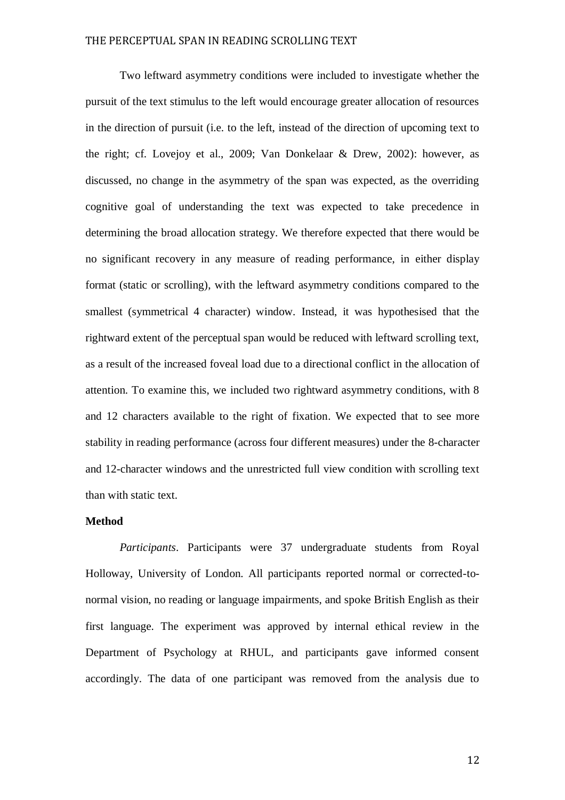Two leftward asymmetry conditions were included to investigate whether the pursuit of the text stimulus to the left would encourage greater allocation of resources in the direction of pursuit (i.e. to the left, instead of the direction of upcoming text to the right; cf. Lovejoy et al., 2009; Van Donkelaar & Drew, 2002): however, as discussed, no change in the asymmetry of the span was expected, as the overriding cognitive goal of understanding the text was expected to take precedence in determining the broad allocation strategy. We therefore expected that there would be no significant recovery in any measure of reading performance, in either display format (static or scrolling), with the leftward asymmetry conditions compared to the smallest (symmetrical 4 character) window. Instead, it was hypothesised that the rightward extent of the perceptual span would be reduced with leftward scrolling text, as a result of the increased foveal load due to a directional conflict in the allocation of attention. To examine this, we included two rightward asymmetry conditions, with 8 and 12 characters available to the right of fixation. We expected that to see more stability in reading performance (across four different measures) under the 8-character and 12-character windows and the unrestricted full view condition with scrolling text than with static text.

## **Method**

*Participants*. Participants were 37 undergraduate students from Royal Holloway, University of London. All participants reported normal or corrected-tonormal vision, no reading or language impairments, and spoke British English as their first language. The experiment was approved by internal ethical review in the Department of Psychology at RHUL, and participants gave informed consent accordingly. The data of one participant was removed from the analysis due to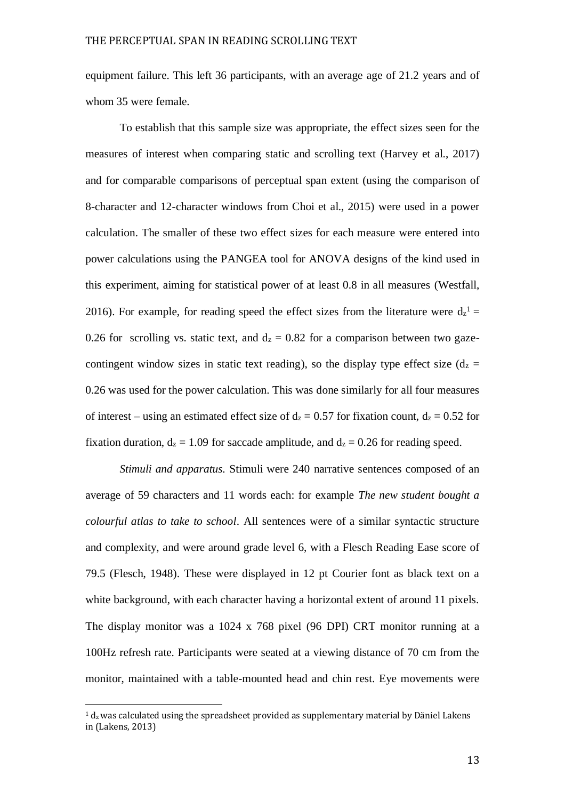equipment failure. This left 36 participants, with an average age of 21.2 years and of whom 35 were female.

To establish that this sample size was appropriate, the effect sizes seen for the measures of interest when comparing static and scrolling text (Harvey et al., 2017) and for comparable comparisons of perceptual span extent (using the comparison of 8-character and 12-character windows from Choi et al., 2015) were used in a power calculation. The smaller of these two effect sizes for each measure were entered into power calculations using the PANGEA tool for ANOVA designs of the kind used in this experiment, aiming for statistical power of at least 0.8 in all measures (Westfall, 2016). For example, for reading speed the effect sizes from the literature were  $d_z$ <sup>1</sup> = 0.26 for scrolling vs. static text, and  $d_z = 0.82$  for a comparison between two gazecontingent window sizes in static text reading), so the display type effect size  $(d_z =$ 0.26 was used for the power calculation. This was done similarly for all four measures of interest – using an estimated effect size of  $d_z = 0.57$  for fixation count,  $d_z = 0.52$  for fixation duration,  $d_z = 1.09$  for saccade amplitude, and  $d_z = 0.26$  for reading speed.

*Stimuli and apparatus.* Stimuli were 240 narrative sentences composed of an average of 59 characters and 11 words each: for example *The new student bought a colourful atlas to take to school*. All sentences were of a similar syntactic structure and complexity, and were around grade level 6, with a Flesch Reading Ease score of 79.5 (Flesch, 1948). These were displayed in 12 pt Courier font as black text on a white background, with each character having a horizontal extent of around 11 pixels. The display monitor was a 1024 x 768 pixel (96 DPI) CRT monitor running at a 100Hz refresh rate. Participants were seated at a viewing distance of 70 cm from the monitor, maintained with a table-mounted head and chin rest. Eye movements were

 $\overline{\phantom{a}}$ 

 $1 d<sub>z</sub>$  was calculated using the spreadsheet provided as supplementary material by Däniel Lakens in (Lakens, 2013)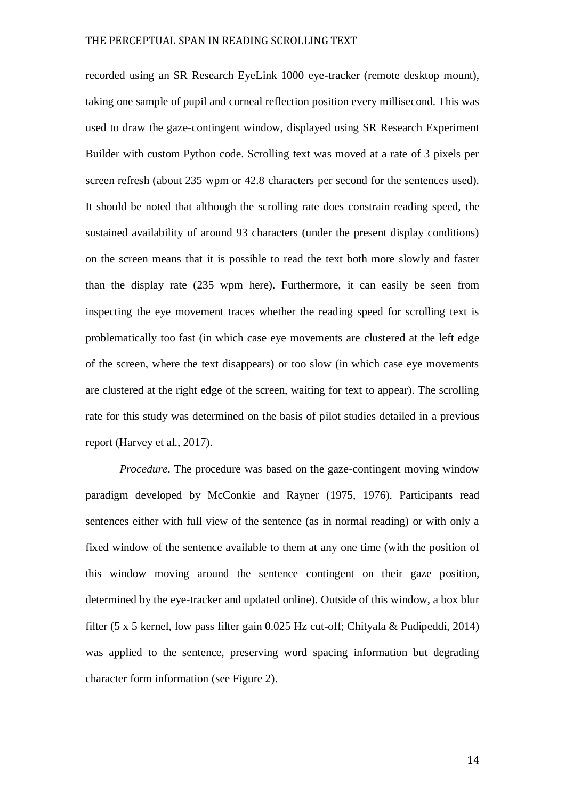recorded using an SR Research EyeLink 1000 eye-tracker (remote desktop mount), taking one sample of pupil and corneal reflection position every millisecond. This was used to draw the gaze-contingent window, displayed using SR Research Experiment Builder with custom Python code. Scrolling text was moved at a rate of 3 pixels per screen refresh (about 235 wpm or 42.8 characters per second for the sentences used). It should be noted that although the scrolling rate does constrain reading speed, the sustained availability of around 93 characters (under the present display conditions) on the screen means that it is possible to read the text both more slowly and faster than the display rate (235 wpm here). Furthermore, it can easily be seen from inspecting the eye movement traces whether the reading speed for scrolling text is problematically too fast (in which case eye movements are clustered at the left edge of the screen, where the text disappears) or too slow (in which case eye movements are clustered at the right edge of the screen, waiting for text to appear). The scrolling rate for this study was determined on the basis of pilot studies detailed in a previous report (Harvey et al., 2017).

*Procedure*. The procedure was based on the gaze-contingent moving window paradigm developed by McConkie and Rayner (1975, 1976). Participants read sentences either with full view of the sentence (as in normal reading) or with only a fixed window of the sentence available to them at any one time (with the position of this window moving around the sentence contingent on their gaze position, determined by the eye-tracker and updated online). Outside of this window, a box blur filter (5 x 5 kernel, low pass filter gain 0.025 Hz cut-off; Chityala & Pudipeddi, 2014) was applied to the sentence, preserving word spacing information but degrading character form information (see Figure 2).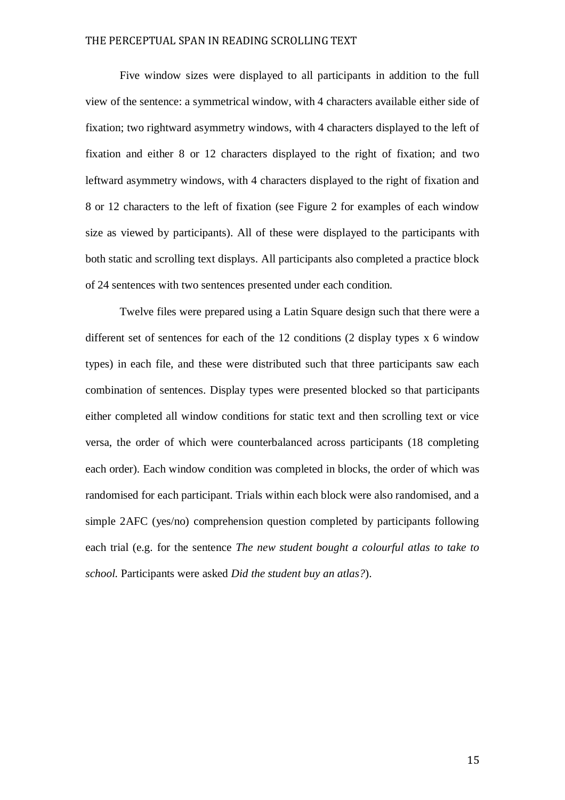Five window sizes were displayed to all participants in addition to the full view of the sentence: a symmetrical window, with 4 characters available either side of fixation; two rightward asymmetry windows, with 4 characters displayed to the left of fixation and either 8 or 12 characters displayed to the right of fixation; and two leftward asymmetry windows, with 4 characters displayed to the right of fixation and 8 or 12 characters to the left of fixation (see Figure 2 for examples of each window size as viewed by participants). All of these were displayed to the participants with both static and scrolling text displays. All participants also completed a practice block of 24 sentences with two sentences presented under each condition.

Twelve files were prepared using a Latin Square design such that there were a different set of sentences for each of the 12 conditions (2 display types x 6 window types) in each file, and these were distributed such that three participants saw each combination of sentences. Display types were presented blocked so that participants either completed all window conditions for static text and then scrolling text or vice versa, the order of which were counterbalanced across participants (18 completing each order). Each window condition was completed in blocks, the order of which was randomised for each participant. Trials within each block were also randomised, and a simple 2AFC (yes/no) comprehension question completed by participants following each trial (e.g. for the sentence *The new student bought a colourful atlas to take to school.* Participants were asked *Did the student buy an atlas?*).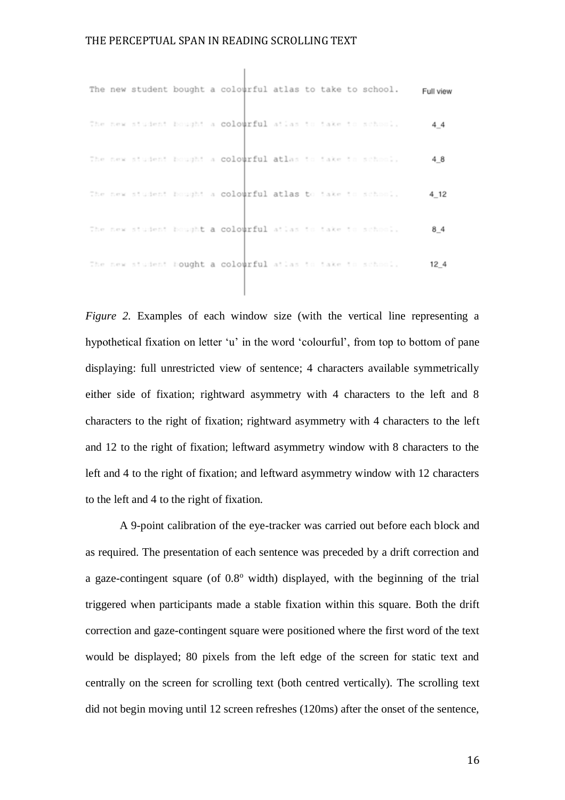|  |  | The new student bought a colourful atlas to take to school. |  |  | Full view       |
|--|--|-------------------------------------------------------------|--|--|-----------------|
|  |  | The new student hought a colourful atlas to take to school. |  |  | 44              |
|  |  | The new student bought a colourful atlas to take to school. |  |  | 48              |
|  |  | The new student bought a colourful atlas to take to school. |  |  | 4 12            |
|  |  | The new student bought a colourful atlas to take to school. |  |  | 84              |
|  |  | The new student bought a colourful atlas to take to school. |  |  | 12 <sub>4</sub> |

*Figure 2.* Examples of each window size (with the vertical line representing a hypothetical fixation on letter 'u' in the word 'colourful', from top to bottom of pane displaying: full unrestricted view of sentence; 4 characters available symmetrically either side of fixation; rightward asymmetry with 4 characters to the left and 8 characters to the right of fixation; rightward asymmetry with 4 characters to the left and 12 to the right of fixation; leftward asymmetry window with 8 characters to the left and 4 to the right of fixation; and leftward asymmetry window with 12 characters to the left and 4 to the right of fixation.

A 9-point calibration of the eye-tracker was carried out before each block and as required. The presentation of each sentence was preceded by a drift correction and a gaze-contingent square (of  $0.8^{\circ}$  width) displayed, with the beginning of the trial triggered when participants made a stable fixation within this square. Both the drift correction and gaze-contingent square were positioned where the first word of the text would be displayed; 80 pixels from the left edge of the screen for static text and centrally on the screen for scrolling text (both centred vertically). The scrolling text did not begin moving until 12 screen refreshes (120ms) after the onset of the sentence,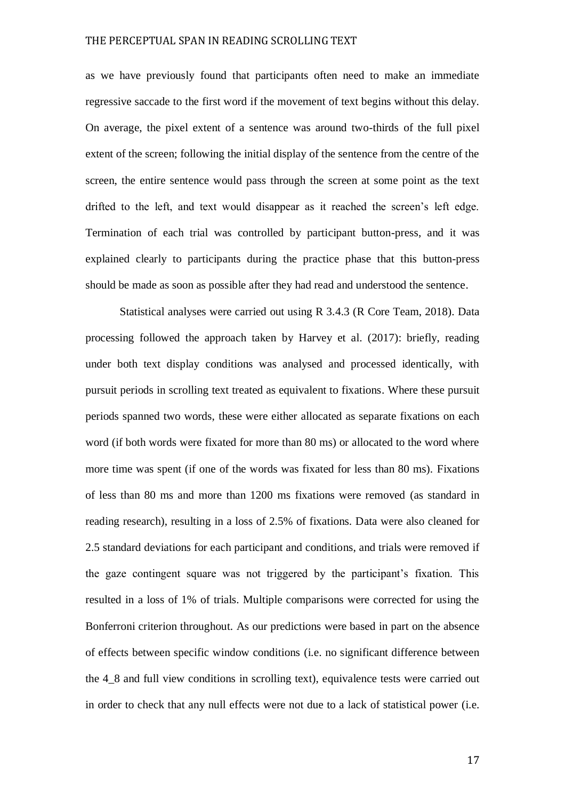as we have previously found that participants often need to make an immediate regressive saccade to the first word if the movement of text begins without this delay. On average, the pixel extent of a sentence was around two-thirds of the full pixel extent of the screen; following the initial display of the sentence from the centre of the screen, the entire sentence would pass through the screen at some point as the text drifted to the left, and text would disappear as it reached the screen's left edge. Termination of each trial was controlled by participant button-press, and it was explained clearly to participants during the practice phase that this button-press should be made as soon as possible after they had read and understood the sentence.

Statistical analyses were carried out using R 3.4.3 (R Core Team, 2018). Data processing followed the approach taken by Harvey et al. (2017): briefly, reading under both text display conditions was analysed and processed identically, with pursuit periods in scrolling text treated as equivalent to fixations. Where these pursuit periods spanned two words, these were either allocated as separate fixations on each word (if both words were fixated for more than 80 ms) or allocated to the word where more time was spent (if one of the words was fixated for less than 80 ms). Fixations of less than 80 ms and more than 1200 ms fixations were removed (as standard in reading research), resulting in a loss of 2.5% of fixations. Data were also cleaned for 2.5 standard deviations for each participant and conditions, and trials were removed if the gaze contingent square was not triggered by the participant's fixation. This resulted in a loss of 1% of trials. Multiple comparisons were corrected for using the Bonferroni criterion throughout. As our predictions were based in part on the absence of effects between specific window conditions (i.e. no significant difference between the 4\_8 and full view conditions in scrolling text), equivalence tests were carried out in order to check that any null effects were not due to a lack of statistical power (i.e.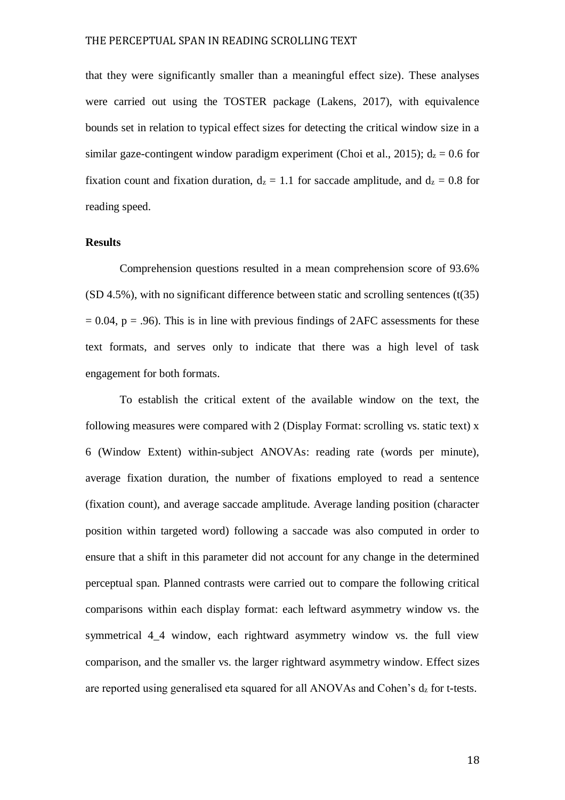that they were significantly smaller than a meaningful effect size). These analyses were carried out using the TOSTER package (Lakens, 2017), with equivalence bounds set in relation to typical effect sizes for detecting the critical window size in a similar gaze-contingent window paradigm experiment (Choi et al., 2015);  $d_z = 0.6$  for fixation count and fixation duration,  $d_z = 1.1$  for saccade amplitude, and  $d_z = 0.8$  for reading speed.

#### **Results**

Comprehension questions resulted in a mean comprehension score of 93.6% (SD 4.5%), with no significant difference between static and scrolling sentences (t(35)  $= 0.04$ ,  $p = .96$ ). This is in line with previous findings of 2AFC assessments for these text formats, and serves only to indicate that there was a high level of task engagement for both formats.

To establish the critical extent of the available window on the text, the following measures were compared with 2 (Display Format: scrolling vs. static text) x 6 (Window Extent) within-subject ANOVAs: reading rate (words per minute), average fixation duration, the number of fixations employed to read a sentence (fixation count), and average saccade amplitude. Average landing position (character position within targeted word) following a saccade was also computed in order to ensure that a shift in this parameter did not account for any change in the determined perceptual span. Planned contrasts were carried out to compare the following critical comparisons within each display format: each leftward asymmetry window vs. the symmetrical 4\_4 window, each rightward asymmetry window vs. the full view comparison, and the smaller vs. the larger rightward asymmetry window. Effect sizes are reported using generalised eta squared for all ANOVAs and Cohen's d<sup>z</sup> for t-tests.

18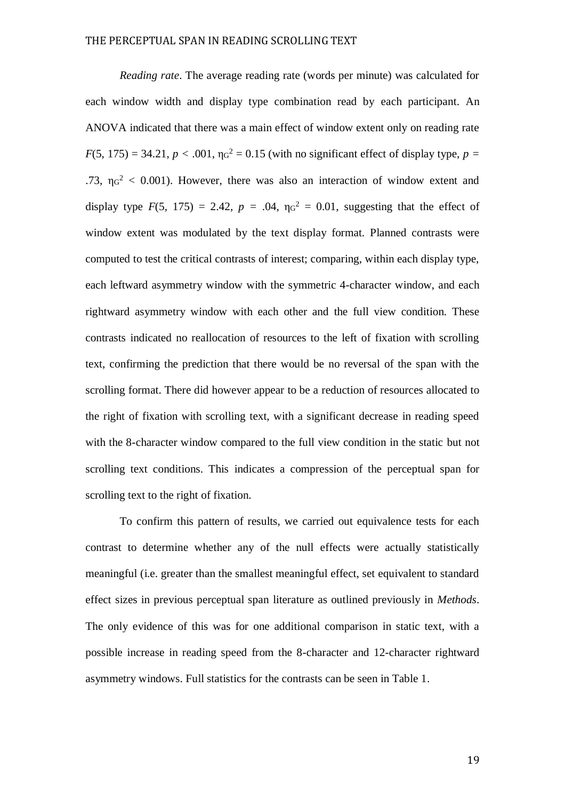*Reading rate*. The average reading rate (words per minute) was calculated for each window width and display type combination read by each participant. An ANOVA indicated that there was a main effect of window extent only on reading rate  $F(5, 175) = 34.21, p < .001, \eta_0^2 = 0.15$  (with no significant effect of display type,  $p =$ .73,  $\eta$ <sup>2</sup> < 0.001). However, there was also an interaction of window extent and display type  $F(5, 175) = 2.42$ ,  $p = .04$ ,  $\eta_0^2 = 0.01$ , suggesting that the effect of window extent was modulated by the text display format. Planned contrasts were computed to test the critical contrasts of interest; comparing, within each display type, each leftward asymmetry window with the symmetric 4-character window, and each rightward asymmetry window with each other and the full view condition. These contrasts indicated no reallocation of resources to the left of fixation with scrolling text, confirming the prediction that there would be no reversal of the span with the scrolling format. There did however appear to be a reduction of resources allocated to the right of fixation with scrolling text, with a significant decrease in reading speed with the 8-character window compared to the full view condition in the static but not scrolling text conditions. This indicates a compression of the perceptual span for scrolling text to the right of fixation.

To confirm this pattern of results, we carried out equivalence tests for each contrast to determine whether any of the null effects were actually statistically meaningful (i.e. greater than the smallest meaningful effect, set equivalent to standard effect sizes in previous perceptual span literature as outlined previously in *Methods*. The only evidence of this was for one additional comparison in static text, with a possible increase in reading speed from the 8-character and 12-character rightward asymmetry windows. Full statistics for the contrasts can be seen in Table 1.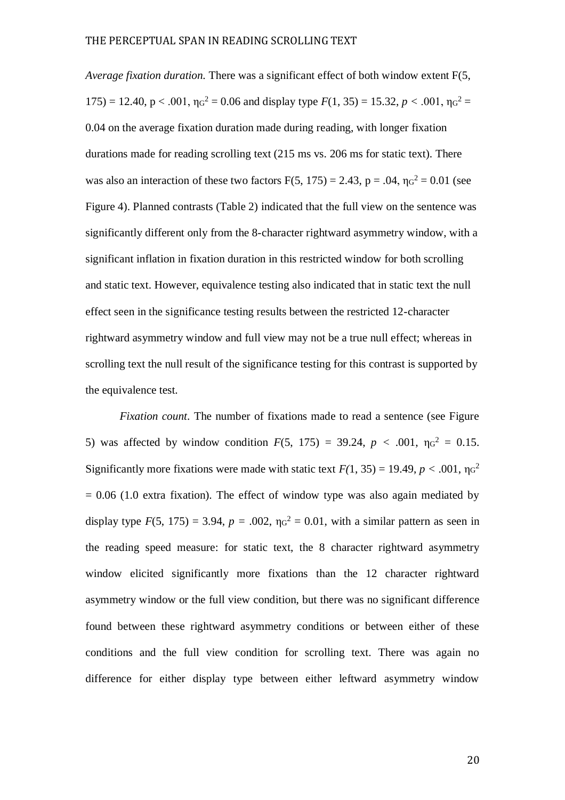*Average fixation duration.* There was a significant effect of both window extent F(5, 175) = 12.40,  $p < .001$ ,  $\eta q^2 = 0.06$  and display type  $F(1, 35) = 15.32$ ,  $p < .001$ ,  $\eta q^2 =$ 0.04 on the average fixation duration made during reading, with longer fixation durations made for reading scrolling text (215 ms vs. 206 ms for static text). There was also an interaction of these two factors  $F(5, 175) = 2.43$ ,  $p = .04$ ,  $\eta_0^2 = 0.01$  (see Figure 4). Planned contrasts (Table 2) indicated that the full view on the sentence was significantly different only from the 8-character rightward asymmetry window, with a significant inflation in fixation duration in this restricted window for both scrolling and static text. However, equivalence testing also indicated that in static text the null effect seen in the significance testing results between the restricted 12-character rightward asymmetry window and full view may not be a true null effect; whereas in scrolling text the null result of the significance testing for this contrast is supported by the equivalence test.

*Fixation count*. The number of fixations made to read a sentence (see Figure 5) was affected by window condition  $F(5, 175) = 39.24$ ,  $p < .001$ ,  $\eta q^2 = 0.15$ . Significantly more fixations were made with static text  $F(1, 35) = 19.49$ ,  $p < .001$ ,  $\eta \text{G}^2$  $= 0.06$  (1.0 extra fixation). The effect of window type was also again mediated by display type  $F(5, 175) = 3.94$ ,  $p = .002$ ,  $\eta_{G}^{2} = 0.01$ , with a similar pattern as seen in the reading speed measure: for static text, the 8 character rightward asymmetry window elicited significantly more fixations than the 12 character rightward asymmetry window or the full view condition, but there was no significant difference found between these rightward asymmetry conditions or between either of these conditions and the full view condition for scrolling text. There was again no difference for either display type between either leftward asymmetry window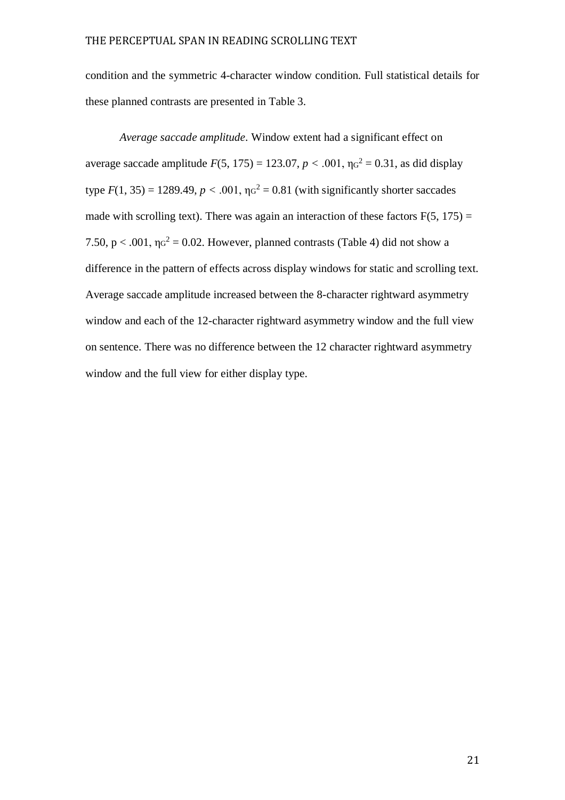condition and the symmetric 4-character window condition. Full statistical details for these planned contrasts are presented in Table 3.

*Average saccade amplitude*. Window extent had a significant effect on average saccade amplitude  $F(5, 175) = 123.07, p < .001, \eta_0^2 = 0.31$ , as did display type  $F(1, 35) = 1289.49$ ,  $p < .001$ ,  $\eta q^2 = 0.81$  (with significantly shorter saccades made with scrolling text). There was again an interaction of these factors  $F(5, 175) =$ 7.50,  $p < .001$ ,  $\eta_0^2 = 0.02$ . However, planned contrasts (Table 4) did not show a difference in the pattern of effects across display windows for static and scrolling text. Average saccade amplitude increased between the 8-character rightward asymmetry window and each of the 12-character rightward asymmetry window and the full view on sentence. There was no difference between the 12 character rightward asymmetry window and the full view for either display type.

21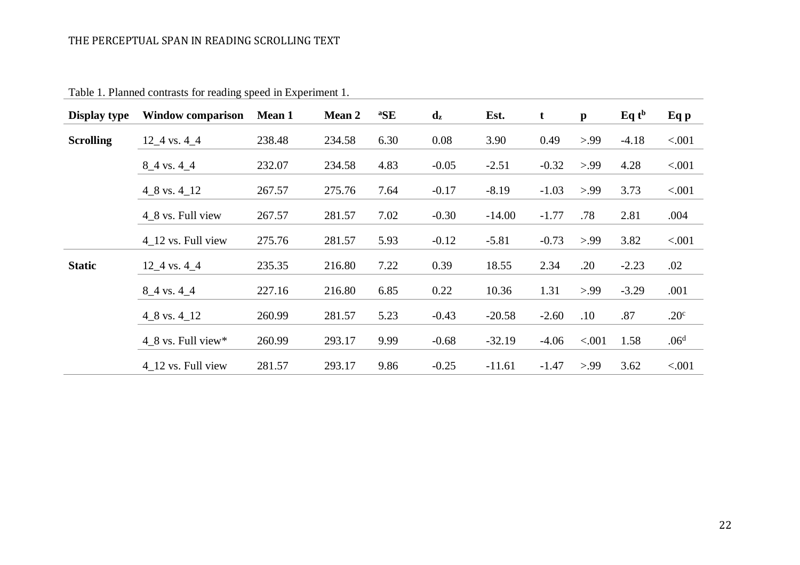| Display type     | <b>Window comparison</b> | <b>Mean 1</b> | <b>Mean 2</b> | ${}^{a}\!SE$ | $\mathbf{d}_{\mathbf{z}}$ | Est.     | $\mathbf t$ | $\mathbf{p}$ | $Eq$ t <sup>b</sup> | Eq p             |
|------------------|--------------------------|---------------|---------------|--------------|---------------------------|----------|-------------|--------------|---------------------|------------------|
| <b>Scrolling</b> | $12\_4$ vs. $4\_4$       | 238.48        | 234.58        | 6.30         | 0.08                      | 3.90     | 0.49        | > 99         | $-4.18$             | < .001           |
|                  | $8_4$ vs. 4 $4_4$        | 232.07        | 234.58        | 4.83         | $-0.05$                   | $-2.51$  | $-0.32$     | > 99         | 4.28                | < .001           |
|                  | $4\_8$ vs. $4\_12$       | 267.57        | 275.76        | 7.64         | $-0.17$                   | $-8.19$  | $-1.03$     | > 99         | 3.73                | < .001           |
|                  | 4_8 vs. Full view        | 267.57        | 281.57        | 7.02         | $-0.30$                   | $-14.00$ | $-1.77$     | .78          | 2.81                | .004             |
|                  | 4 12 vs. Full view       | 275.76        | 281.57        | 5.93         | $-0.12$                   | $-5.81$  | $-0.73$     | > 99         | 3.82                | < .001           |
| <b>Static</b>    | $12\_4$ vs. $4\_4$       | 235.35        | 216.80        | 7.22         | 0.39                      | 18.55    | 2.34        | .20          | $-2.23$             | .02              |
|                  | $8_4$ vs. 4 $4_4$        | 227.16        | 216.80        | 6.85         | 0.22                      | 10.36    | 1.31        | > 99         | $-3.29$             | .001             |
|                  | $4\_8$ vs. $4\_12$       | 260.99        | 281.57        | 5.23         | $-0.43$                   | $-20.58$ | $-2.60$     | .10          | .87                 | .20 <sup>c</sup> |
|                  | 4 8 vs. Full view $*$    | 260.99        | 293.17        | 9.99         | $-0.68$                   | $-32.19$ | $-4.06$     | < .001       | 1.58                | .06 <sup>d</sup> |
|                  | 4 12 vs. Full view       | 281.57        | 293.17        | 9.86         | $-0.25$                   | $-11.61$ | $-1.47$     | > 99         | 3.62                | < .001           |

Table 1. Planned contrasts for reading speed in Experiment 1.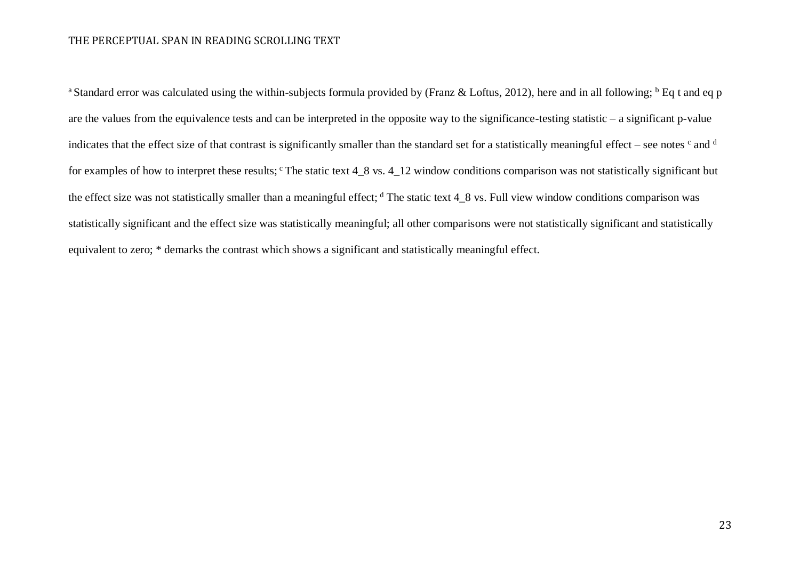<sup>a</sup> Standard error was calculated using the within-subjects formula provided by (Franz & Loftus, 2012), here and in all following;  $<sup>b</sup>$  Eq t and eq p</sup> are the values from the equivalence tests and can be interpreted in the opposite way to the significance-testing statistic – a significant p-value indicates that the effect size of that contrast is significantly smaller than the standard set for a statistically meaningful effect – see notes  $c$  and  $d$ for examples of how to interpret these results;  $\textdegree$  The static text 4\_8 vs. 4\_12 window conditions comparison was not statistically significant but the effect size was not statistically smaller than a meaningful effect;  $d$  The static text  $4_8$  vs. Full view window conditions comparison was statistically significant and the effect size was statistically meaningful; all other comparisons were not statistically significant and statistically equivalent to zero; \* demarks the contrast which shows a significant and statistically meaningful effect.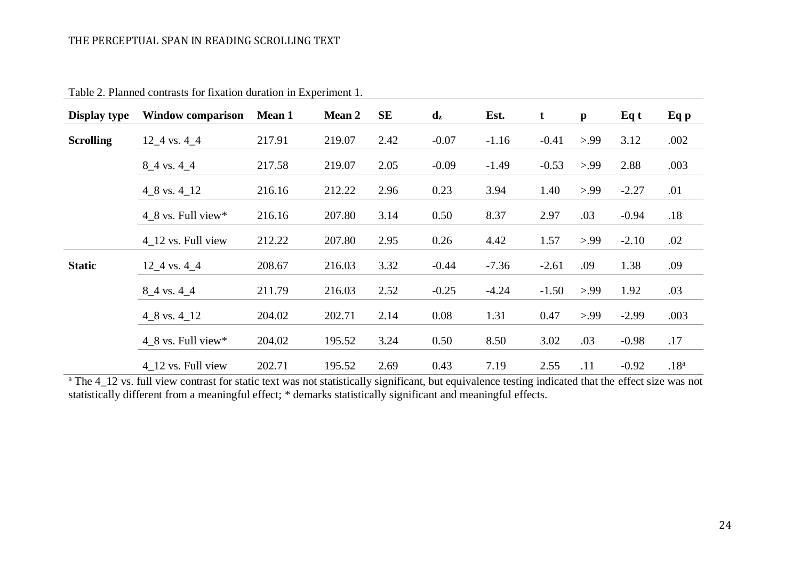| Display type     | <b>Window comparison</b> | <b>Mean 1</b> | <b>Mean 2</b> | SE   | $\mathbf{d}_{\mathbf{z}}$ | Est.    | t       | $\mathbf{p}$ | Eq t    | Eq p             |
|------------------|--------------------------|---------------|---------------|------|---------------------------|---------|---------|--------------|---------|------------------|
| <b>Scrolling</b> | $12\_4$ vs. 4 $\_4$      | 217.91        | 219.07        | 2.42 | $-0.07$                   | $-1.16$ | $-0.41$ | > 99         | 3.12    | .002             |
|                  | $8_4$ vs. 4 $4_4$        | 217.58        | 219.07        | 2.05 | $-0.09$                   | $-1.49$ | $-0.53$ | > 99         | 2.88    | .003             |
|                  | $4\_8$ vs. $4\_12$       | 216.16        | 212.22        | 2.96 | 0.23                      | 3.94    | 1.40    | > 99         | $-2.27$ | .01              |
|                  | $4\_8$ vs. Full view*    | 216.16        | 207.80        | 3.14 | 0.50                      | 8.37    | 2.97    | .03          | $-0.94$ | .18              |
|                  | 4 12 vs. Full view       | 212.22        | 207.80        | 2.95 | 0.26                      | 4.42    | 1.57    | > 99         | $-2.10$ | .02              |
| <b>Static</b>    | $12\_4$ vs. $4\_4$       | 208.67        | 216.03        | 3.32 | $-0.44$                   | $-7.36$ | $-2.61$ | .09          | 1.38    | .09              |
|                  |                          |               |               |      |                           |         |         |              |         |                  |
|                  | $8_4$ vs. 4 $4_4$        | 211.79        | 216.03        | 2.52 | $-0.25$                   | $-4.24$ | $-1.50$ | > 99         | 1.92    | .03              |
|                  | $4\_8$ vs. $4\_12$       | 204.02        | 202.71        | 2.14 | 0.08                      | 1.31    | 0.47    | > 99         | $-2.99$ | .003             |
|                  | $4\_8$ vs. Full view*    | 204.02        | 195.52        | 3.24 | 0.50                      | 8.50    | 3.02    | .03          | $-0.98$ | .17              |
|                  | 4 12 vs. Full view       | 202.71        | 195.52        | 2.69 | 0.43                      | 7.19    | 2.55    | .11          | $-0.92$ | .18 <sup>a</sup> |

Table 2. Planned contrasts for fixation duration in Experiment 1.

<sup>a</sup> The 4\_12 vs. full view contrast for static text was not statistically significant, but equivalence testing indicated that the effect size was not statistically different from a meaningful effect; \* demarks statistically significant and meaningful effects.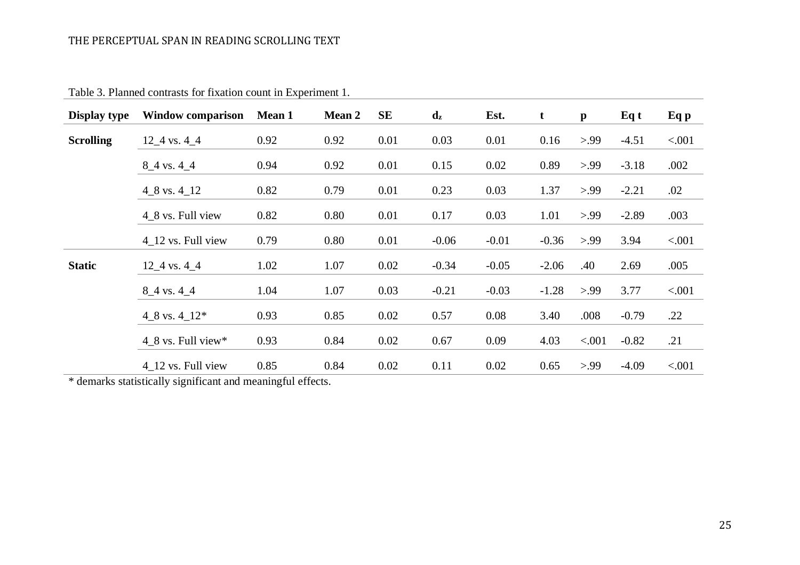| Display type     | <b>Window comparison</b>         | <b>Mean 1</b> | <b>Mean 2</b> | SE   | $\mathbf{d}_{\mathbf{z}}$ | Est.    | $\mathbf t$ | $\mathbf{p}$ | Eq t    | Eq p   |
|------------------|----------------------------------|---------------|---------------|------|---------------------------|---------|-------------|--------------|---------|--------|
| <b>Scrolling</b> | $12\_4$ vs. $4\_4$               | 0.92          | 0.92          | 0.01 | 0.03                      | 0.01    | 0.16        | > 99         | $-4.51$ | < .001 |
|                  | $8_4$ vs. 4 $4_4$                | 0.94          | 0.92          | 0.01 | 0.15                      | 0.02    | 0.89        | > 99         | $-3.18$ | .002   |
|                  | $4\_8$ vs. $4\_12$               | 0.82          | 0.79          | 0.01 | 0.23                      | 0.03    | 1.37        | > 99         | $-2.21$ | .02    |
|                  | 4_8 vs. Full view                | 0.82          | 0.80          | 0.01 | 0.17                      | 0.03    | 1.01        | > 99         | $-2.89$ | .003   |
|                  | 4 12 vs. Full view               | 0.79          | 0.80          | 0.01 | $-0.06$                   | $-0.01$ | $-0.36$     | > 99         | 3.94    | < .001 |
| <b>Static</b>    | $12\_4$ vs. $4\_4$               | 1.02          | 1.07          | 0.02 | $-0.34$                   | $-0.05$ | $-2.06$     | .40          | 2.69    | .005   |
|                  | $8_4$ vs. 4 $4_4$                | 1.04          | 1.07          | 0.03 | $-0.21$                   | $-0.03$ | $-1.28$     | > 99         | 3.77    | < .001 |
|                  | $4\_8$ vs. $4\_12*$              | 0.93          | 0.85          | 0.02 | 0.57                      | 0.08    | 3.40        | .008         | $-0.79$ | .22    |
|                  | $4\_8$ vs. Full view*            | 0.93          | 0.84          | 0.02 | 0.67                      | 0.09    | 4.03        | < .001       | $-0.82$ | .21    |
|                  | $4$ <sub>-12</sub> vs. Full view | 0.85          | 0.84          | 0.02 | 0.11                      | 0.02    | 0.65        | > 99         | $-4.09$ | < .001 |

Table 3. Planned contrasts for fixation count in Experiment 1.

\* demarks statistically significant and meaningful effects.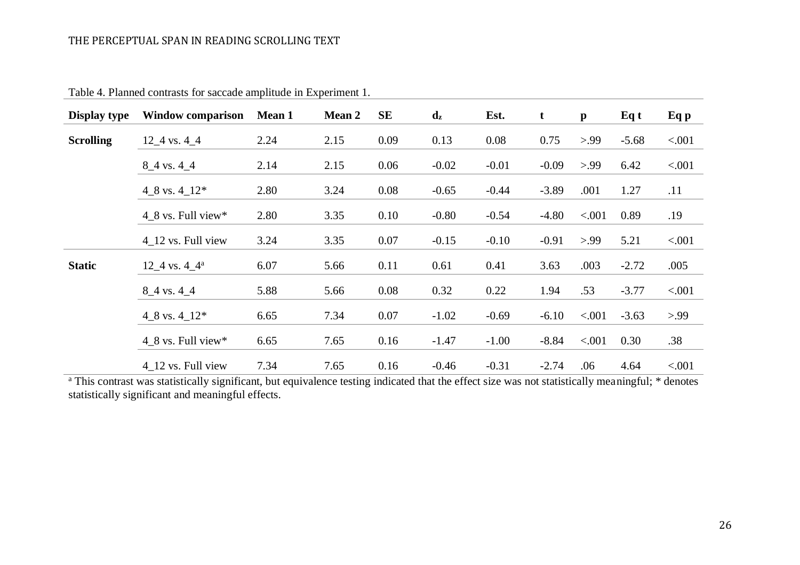| Display type     | <b>Window comparison</b>         | <b>Mean 1</b> | <b>Mean 2</b> | SE   | $\mathbf{d}_{\mathbf{z}}$ | Est.    | $\mathbf t$ | $\mathbf{p}$ | Eq t    | Eq p   |
|------------------|----------------------------------|---------------|---------------|------|---------------------------|---------|-------------|--------------|---------|--------|
| <b>Scrolling</b> | $12\_4$ vs. $4\_4$               | 2.24          | 2.15          | 0.09 | 0.13                      | 0.08    | 0.75        | > 99         | $-5.68$ | < .001 |
|                  | $8-4$ vs. 4 $-4$                 | 2.14          | 2.15          | 0.06 | $-0.02$                   | $-0.01$ | $-0.09$     | > 99         | 6.42    | < .001 |
|                  | 4_8 vs. $4$ _12 <sup>*</sup>     | 2.80          | 3.24          | 0.08 | $-0.65$                   | $-0.44$ | $-3.89$     | .001         | 1.27    | .11    |
|                  | $4\_8$ vs. Full view*            | 2.80          | 3.35          | 0.10 | $-0.80$                   | $-0.54$ | $-4.80$     | < .001       | 0.89    | .19    |
|                  | $4$ <sub>-12</sub> vs. Full view | 3.24          | 3.35          | 0.07 | $-0.15$                   | $-0.10$ | $-0.91$     | > 99         | 5.21    | < .001 |
| <b>Static</b>    | $12\_4$ vs. $4\_4^a$             | 6.07          | 5.66          | 0.11 | 0.61                      | 0.41    | 3.63        | .003         | $-2.72$ | .005   |
|                  | $8_4$ vs. 4 $4_4$                | 5.88          | 5.66          | 0.08 | 0.32                      | 0.22    | 1.94        | .53          | $-3.77$ | < .001 |
|                  | 4_8 vs. $4$ _12 <sup>*</sup>     | 6.65          | 7.34          | 0.07 | $-1.02$                   | $-0.69$ | $-6.10$     | < .001       | $-3.63$ | > 99   |
|                  | $4_8$ vs. Full view*             | 6.65          | 7.65          | 0.16 | $-1.47$                   | $-1.00$ | $-8.84$     | < .001       | 0.30    | .38    |
|                  | 4 12 vs. Full view               | 7.34          | 7.65          | 0.16 | $-0.46$                   | $-0.31$ | $-2.74$     | .06          | 4.64    | < .001 |

Table 4. Planned contrasts for saccade amplitude in Experiment 1.

<sup>a</sup> This contrast was statistically significant, but equivalence testing indicated that the effect size was not statistically meaningful; \* denotes statistically significant and meaningful effects.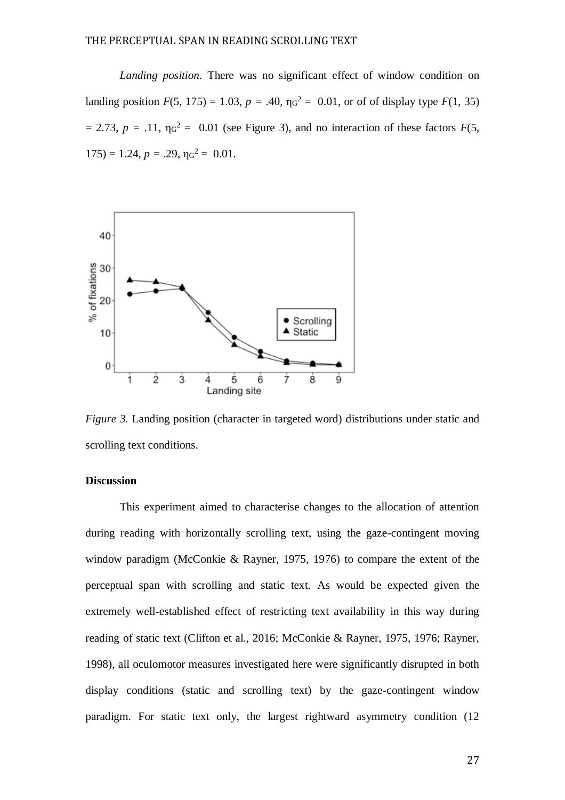*Landing position.* There was no significant effect of window condition on landing position  $F(5, 175) = 1.03$ ,  $p = .40$ ,  $\eta g^2 = 0.01$ , or of of display type  $F(1, 35)$  $= 2.73$ ,  $p = .11$ ,  $\eta q^2 = 0.01$  (see Figure 3), and no interaction of these factors  $F(5)$ ,  $175$ ) = 1.24,  $p = .29$ ,  $\eta g^2 = 0.01$ .



*Figure 3.* Landing position (character in targeted word) distributions under static and scrolling text conditions.

## **Discussion**

This experiment aimed to characterise changes to the allocation of attention during reading with horizontally scrolling text, using the gaze-contingent moving window paradigm (McConkie & Rayner, 1975, 1976) to compare the extent of the perceptual span with scrolling and static text. As would be expected given the extremely well-established effect of restricting text availability in this way during reading of static text (Clifton et al., 2016; McConkie & Rayner, 1975, 1976; Rayner, 1998), all oculomotor measures investigated here were significantly disrupted in both display conditions (static and scrolling text) by the gaze-contingent window paradigm. For static text only, the largest rightward asymmetry condition (12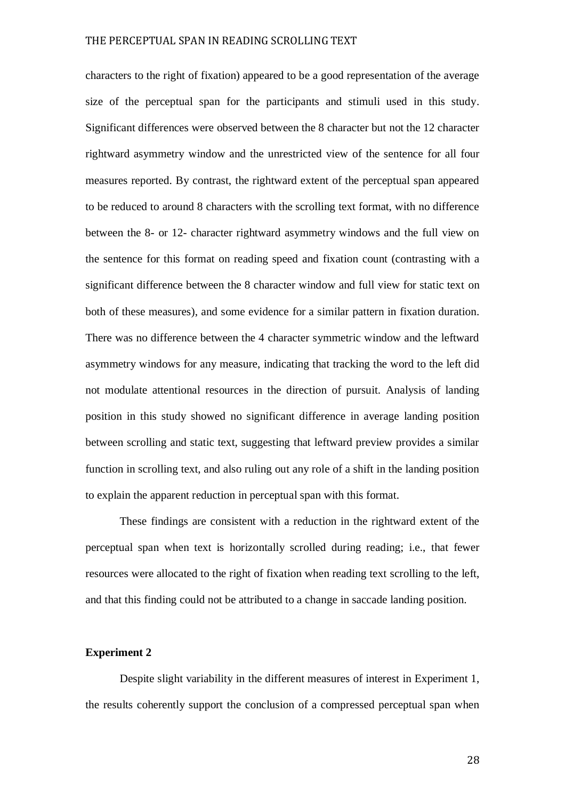characters to the right of fixation) appeared to be a good representation of the average size of the perceptual span for the participants and stimuli used in this study. Significant differences were observed between the 8 character but not the 12 character rightward asymmetry window and the unrestricted view of the sentence for all four measures reported. By contrast, the rightward extent of the perceptual span appeared to be reduced to around 8 characters with the scrolling text format, with no difference between the 8- or 12- character rightward asymmetry windows and the full view on the sentence for this format on reading speed and fixation count (contrasting with a significant difference between the 8 character window and full view for static text on both of these measures), and some evidence for a similar pattern in fixation duration. There was no difference between the 4 character symmetric window and the leftward asymmetry windows for any measure, indicating that tracking the word to the left did not modulate attentional resources in the direction of pursuit. Analysis of landing position in this study showed no significant difference in average landing position between scrolling and static text, suggesting that leftward preview provides a similar function in scrolling text, and also ruling out any role of a shift in the landing position to explain the apparent reduction in perceptual span with this format.

These findings are consistent with a reduction in the rightward extent of the perceptual span when text is horizontally scrolled during reading; i.e., that fewer resources were allocated to the right of fixation when reading text scrolling to the left, and that this finding could not be attributed to a change in saccade landing position.

## **Experiment 2**

Despite slight variability in the different measures of interest in Experiment 1, the results coherently support the conclusion of a compressed perceptual span when

28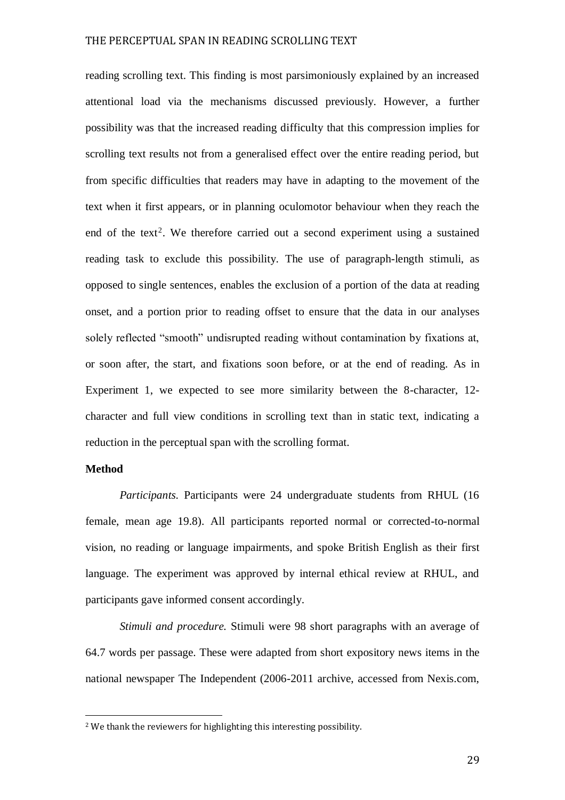reading scrolling text. This finding is most parsimoniously explained by an increased attentional load via the mechanisms discussed previously. However, a further possibility was that the increased reading difficulty that this compression implies for scrolling text results not from a generalised effect over the entire reading period, but from specific difficulties that readers may have in adapting to the movement of the text when it first appears, or in planning oculomotor behaviour when they reach the end of the text<sup>2</sup>. We therefore carried out a second experiment using a sustained reading task to exclude this possibility. The use of paragraph-length stimuli, as opposed to single sentences, enables the exclusion of a portion of the data at reading onset, and a portion prior to reading offset to ensure that the data in our analyses solely reflected "smooth" undisrupted reading without contamination by fixations at, or soon after, the start, and fixations soon before, or at the end of reading. As in Experiment 1, we expected to see more similarity between the 8-character, 12 character and full view conditions in scrolling text than in static text, indicating a reduction in the perceptual span with the scrolling format.

## **Method**

l

*Participants.* Participants were 24 undergraduate students from RHUL (16 female, mean age 19.8). All participants reported normal or corrected-to-normal vision, no reading or language impairments, and spoke British English as their first language. The experiment was approved by internal ethical review at RHUL, and participants gave informed consent accordingly.

*Stimuli and procedure.* Stimuli were 98 short paragraphs with an average of 64.7 words per passage. These were adapted from short expository news items in the national newspaper The Independent (2006-2011 archive, accessed from Nexis.com,

<sup>2</sup> We thank the reviewers for highlighting this interesting possibility.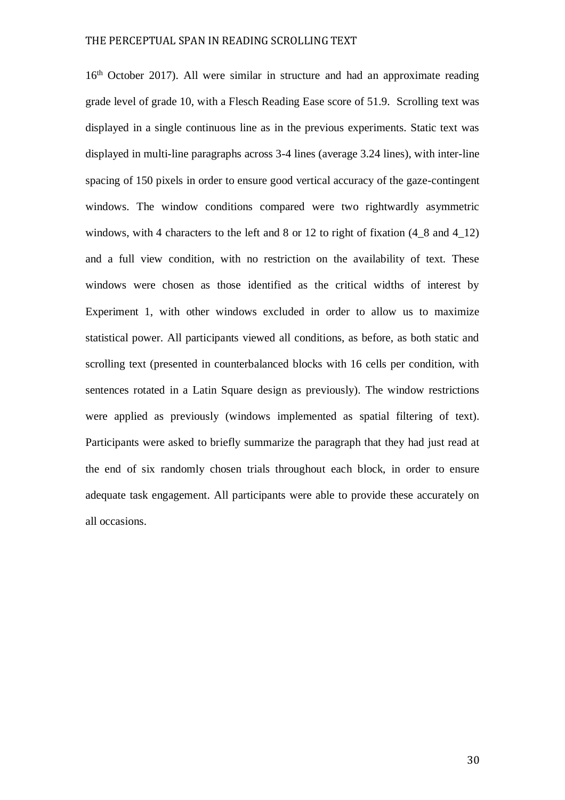16<sup>th</sup> October 2017). All were similar in structure and had an approximate reading grade level of grade 10, with a Flesch Reading Ease score of 51.9. Scrolling text was displayed in a single continuous line as in the previous experiments. Static text was displayed in multi-line paragraphs across 3-4 lines (average 3.24 lines), with inter-line spacing of 150 pixels in order to ensure good vertical accuracy of the gaze-contingent windows. The window conditions compared were two rightwardly asymmetric windows, with 4 characters to the left and 8 or 12 to right of fixation  $(4\_8$  and  $4\_12)$ and a full view condition, with no restriction on the availability of text. These windows were chosen as those identified as the critical widths of interest by Experiment 1, with other windows excluded in order to allow us to maximize statistical power. All participants viewed all conditions, as before, as both static and scrolling text (presented in counterbalanced blocks with 16 cells per condition, with sentences rotated in a Latin Square design as previously). The window restrictions were applied as previously (windows implemented as spatial filtering of text). Participants were asked to briefly summarize the paragraph that they had just read at the end of six randomly chosen trials throughout each block, in order to ensure adequate task engagement. All participants were able to provide these accurately on all occasions.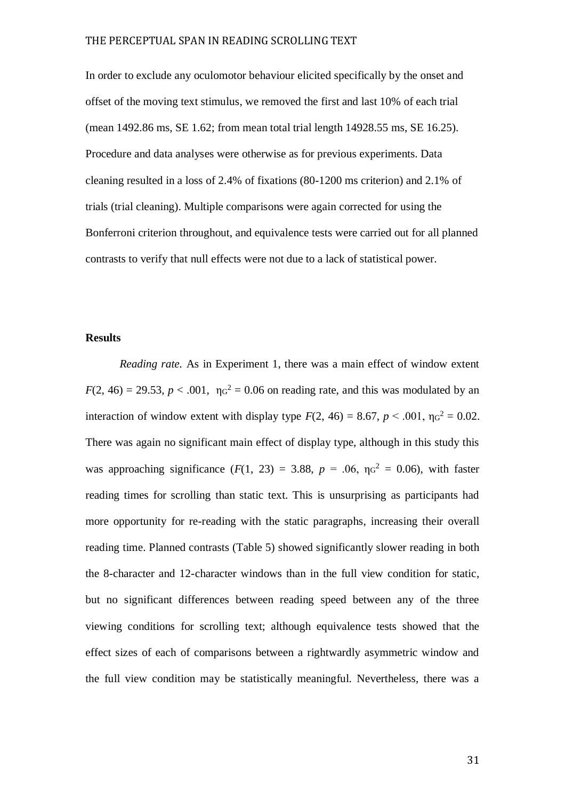In order to exclude any oculomotor behaviour elicited specifically by the onset and offset of the moving text stimulus, we removed the first and last 10% of each trial (mean 1492.86 ms, SE 1.62; from mean total trial length 14928.55 ms, SE 16.25). Procedure and data analyses were otherwise as for previous experiments. Data cleaning resulted in a loss of 2.4% of fixations (80-1200 ms criterion) and 2.1% of trials (trial cleaning). Multiple comparisons were again corrected for using the Bonferroni criterion throughout, and equivalence tests were carried out for all planned contrasts to verify that null effects were not due to a lack of statistical power.

## **Results**

*Reading rate.* As in Experiment 1, there was a main effect of window extent  $F(2, 46) = 29.53$ ,  $p < .001$ ,  $\eta q^2 = 0.06$  on reading rate, and this was modulated by an interaction of window extent with display type  $F(2, 46) = 8.67$ ,  $p < .001$ ,  $\eta q^2 = 0.02$ . There was again no significant main effect of display type, although in this study this was approaching significance  $(F(1, 23) = 3.88, p = .06, \eta_0^2 = 0.06)$ , with faster reading times for scrolling than static text. This is unsurprising as participants had more opportunity for re-reading with the static paragraphs, increasing their overall reading time. Planned contrasts (Table 5) showed significantly slower reading in both the 8-character and 12-character windows than in the full view condition for static, but no significant differences between reading speed between any of the three viewing conditions for scrolling text; although equivalence tests showed that the effect sizes of each of comparisons between a rightwardly asymmetric window and the full view condition may be statistically meaningful. Nevertheless, there was a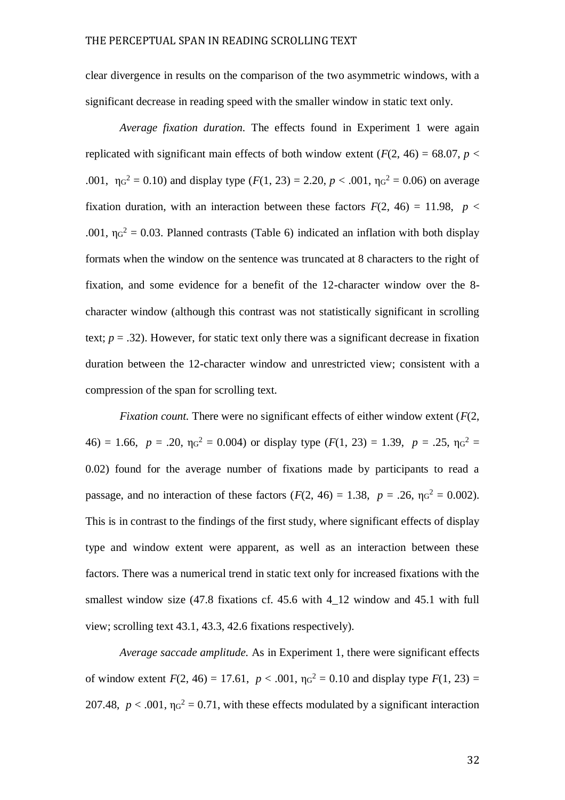clear divergence in results on the comparison of the two asymmetric windows, with a significant decrease in reading speed with the smaller window in static text only.

*Average fixation duration.* The effects found in Experiment 1 were again replicated with significant main effects of both window extent  $(F(2, 46) = 68.07, p <$ .001,  $\eta_0^2 = 0.10$ ) and display type  $(F(1, 23) = 2.20, p < .001, \eta_0^2 = 0.06)$  on average fixation duration, with an interaction between these factors  $F(2, 46) = 11.98$ ,  $p <$ .001,  $\eta g^2 = 0.03$ . Planned contrasts (Table 6) indicated an inflation with both display formats when the window on the sentence was truncated at 8 characters to the right of fixation, and some evidence for a benefit of the 12-character window over the 8 character window (although this contrast was not statistically significant in scrolling text;  $p = .32$ ). However, for static text only there was a significant decrease in fixation duration between the 12-character window and unrestricted view; consistent with a compression of the span for scrolling text.

*Fixation count.* There were no significant effects of either window extent (*F*(2,  $46$ ) = 1.66,  $p = .20$ ,  $\eta_0^2 = 0.004$ ) or display type  $(F(1, 23) = 1.39, p = .25, \eta_0^2 =$ 0.02) found for the average number of fixations made by participants to read a passage, and no interaction of these factors  $(F(2, 46) = 1.38, p = .26, \eta_0^2 = 0.002)$ . This is in contrast to the findings of the first study, where significant effects of display type and window extent were apparent, as well as an interaction between these factors. There was a numerical trend in static text only for increased fixations with the smallest window size  $(47.8 \text{ fixations cf. } 45.6 \text{ with } 4.12 \text{ window and } 45.1 \text{ with full})$ view; scrolling text 43.1, 43.3, 42.6 fixations respectively).

*Average saccade amplitude.* As in Experiment 1, there were significant effects of window extent  $F(2, 46) = 17.61$ ,  $p < .001$ ,  $\eta q^2 = 0.10$  and display type  $F(1, 23) =$ 207.48,  $p < .001$ ,  $\eta q^2 = 0.71$ , with these effects modulated by a significant interaction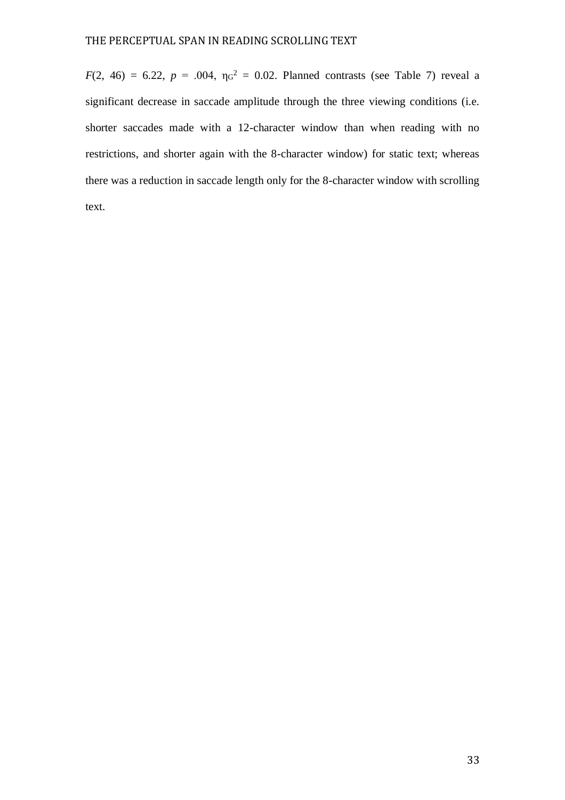*F*(2, 46) = 6.22, *p* = .004,  $\eta$ <sup>2</sup> = 0.02. Planned contrasts (see Table 7) reveal a significant decrease in saccade amplitude through the three viewing conditions (i.e. shorter saccades made with a 12-character window than when reading with no restrictions, and shorter again with the 8-character window) for static text; whereas there was a reduction in saccade length only for the 8-character window with scrolling text.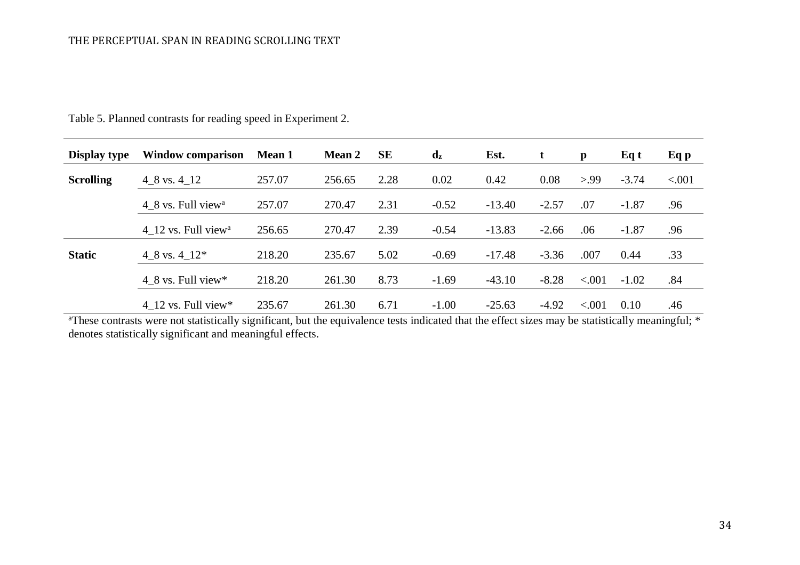| <b>Display type</b> | <b>Window comparison</b>        | <b>Mean 1</b> | <b>Mean 2</b> | <b>SE</b> | $\mathbf{d}_{\mathbf{z}}$ | Est.     | t       | $\mathbf{p}$ | Eq t    | Eq p   |
|---------------------|---------------------------------|---------------|---------------|-----------|---------------------------|----------|---------|--------------|---------|--------|
| <b>Scrolling</b>    | 4 8 vs. 4 12                    | 257.07        | 256.65        | 2.28      | 0.02                      | 0.42     | 0.08    | > 99         | $-3.74$ | < .001 |
|                     | 4 8 vs. Full view <sup>a</sup>  | 257.07        | 270.47        | 2.31      | $-0.52$                   | $-13.40$ | $-2.57$ | .07          | $-1.87$ | .96    |
|                     | 4 12 vs. Full view <sup>a</sup> | 256.65        | 270.47        | 2.39      | $-0.54$                   | $-13.83$ | $-2.66$ | .06          | $-1.87$ | .96    |
| <b>Static</b>       | 4 8 vs. 4 $12*$                 | 218.20        | 235.67        | 5.02      | $-0.69$                   | $-17.48$ | $-3.36$ | .007         | 0.44    | .33    |
|                     | 4 8 vs. Full view*              | 218.20        | 261.30        | 8.73      | $-1.69$                   | $-43.10$ | $-8.28$ | < .001       | $-1.02$ | .84    |
|                     | 4 12 vs. Full view*             | 235.67        | 261.30        | 6.71      | $-1.00$                   | $-25.63$ | $-4.92$ | < .001       | 0.10    | .46    |

Table 5. Planned contrasts for reading speed in Experiment 2.

<sup>a</sup>These contrasts were not statistically significant, but the equivalence tests indicated that the effect sizes may be statistically meaningful; \* denotes statistically significant and meaningful effects.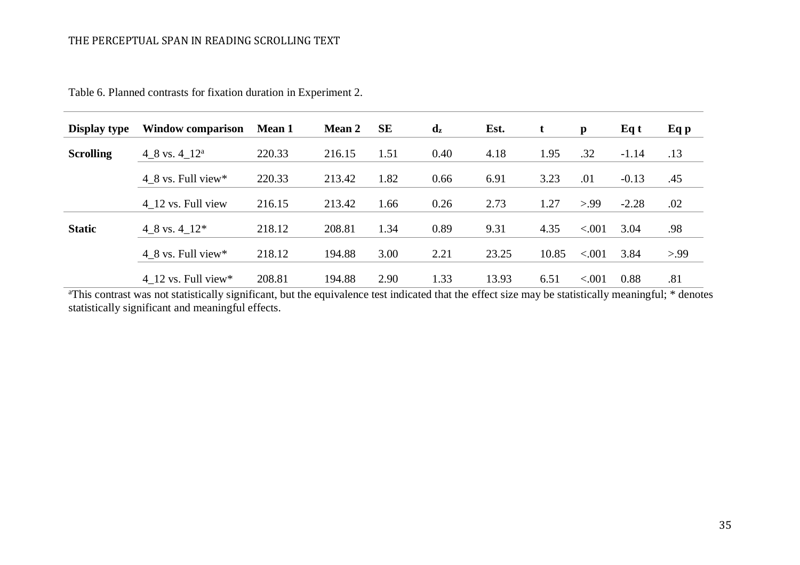| <b>Display type</b> | Window comparison     | <b>Mean 1</b> | <b>Mean 2</b> | <b>SE</b> | $\mathbf{d}_{\mathbf{z}}$ | Est.  | t     | $\mathbf{p}$ | Eq t    | Eq p |
|---------------------|-----------------------|---------------|---------------|-----------|---------------------------|-------|-------|--------------|---------|------|
| <b>Scrolling</b>    | 4 8 vs. $4-12^a$      | 220.33        | 216.15        | 1.51      | 0.40                      | 4.18  | 1.95  | .32          | $-1.14$ | .13  |
|                     | 4 8 vs. Full view $*$ | 220.33        | 213.42        | 1.82      | 0.66                      | 6.91  | 3.23  | .01          | $-0.13$ | .45  |
|                     | 4 12 vs. Full view    | 216.15        | 213.42        | 1.66      | 0.26                      | 2.73  | 1.27  | > 99         | $-2.28$ | .02  |
| <b>Static</b>       | 4 8 vs. 4 $12*$       | 218.12        | 208.81        | 1.34      | 0.89                      | 9.31  | 4.35  | < .001       | 3.04    | .98  |
|                     | 4 8 vs. Full view $*$ | 218.12        | 194.88        | 3.00      | 2.21                      | 23.25 | 10.85 | < 0.001      | 3.84    | > 99 |
|                     | 4 12 vs. Full view*   | 208.81        | 194.88        | 2.90      | 1.33                      | 13.93 | 6.51  | < .001       | 0.88    | .81  |

Table 6. Planned contrasts for fixation duration in Experiment 2.

<sup>a</sup>This contrast was not statistically significant, but the equivalence test indicated that the effect size may be statistically meaningful; \* denotes statistically significant and meaningful effects.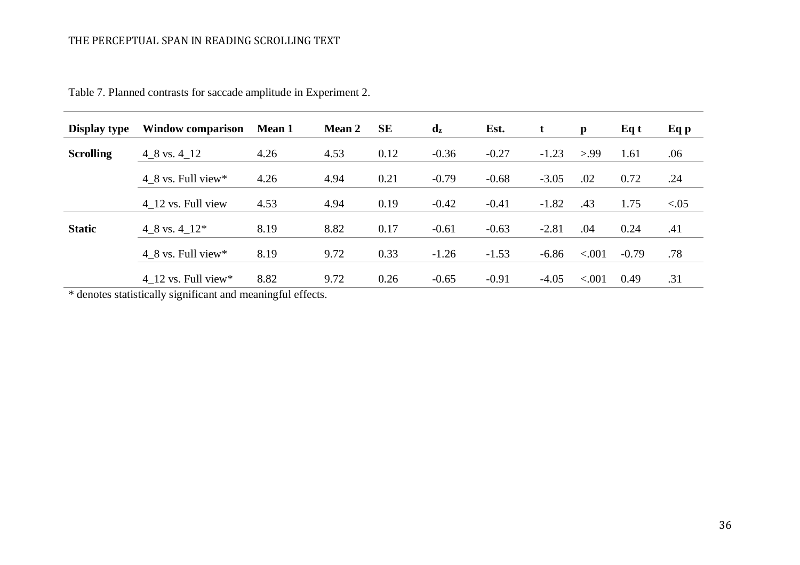| <b>Display type</b> | <b>Window comparison</b> | <b>Mean 1</b> | <b>Mean 2</b> | SE   | $\mathbf{d}_{\mathbf{z}}$ | Est.    | t       | $\mathbf{p}$ | Eq t    | Eq p   |
|---------------------|--------------------------|---------------|---------------|------|---------------------------|---------|---------|--------------|---------|--------|
| <b>Scrolling</b>    | $4\_8$ vs. $4\_12$       | 4.26          | 4.53          | 0.12 | $-0.36$                   | $-0.27$ | $-1.23$ | > 99         | 1.61    | .06    |
|                     | $4\_8$ vs. Full view*    | 4.26          | 4.94          | 0.21 | $-0.79$                   | $-0.68$ | $-3.05$ | .02          | 0.72    | .24    |
|                     | 4 12 vs. Full view       | 4.53          | 4.94          | 0.19 | $-0.42$                   | $-0.41$ | $-1.82$ | .43          | 1.75    | < 0.05 |
| <b>Static</b>       | 4 8 vs. 4 $12*$          | 8.19          | 8.82          | 0.17 | $-0.61$                   | $-0.63$ | $-2.81$ | .04          | 0.24    | .41    |
|                     | 4 8 vs. Full view $*$    | 8.19          | 9.72          | 0.33 | $-1.26$                   | $-1.53$ | $-6.86$ | < .001       | $-0.79$ | .78    |
|                     | 4 12 vs. Full view*      | 8.82          | 9.72          | 0.26 | $-0.65$                   | $-0.91$ | $-4.05$ | < .001       | 0.49    | .31    |

Table 7. Planned contrasts for saccade amplitude in Experiment 2.

\* denotes statistically significant and meaningful effects.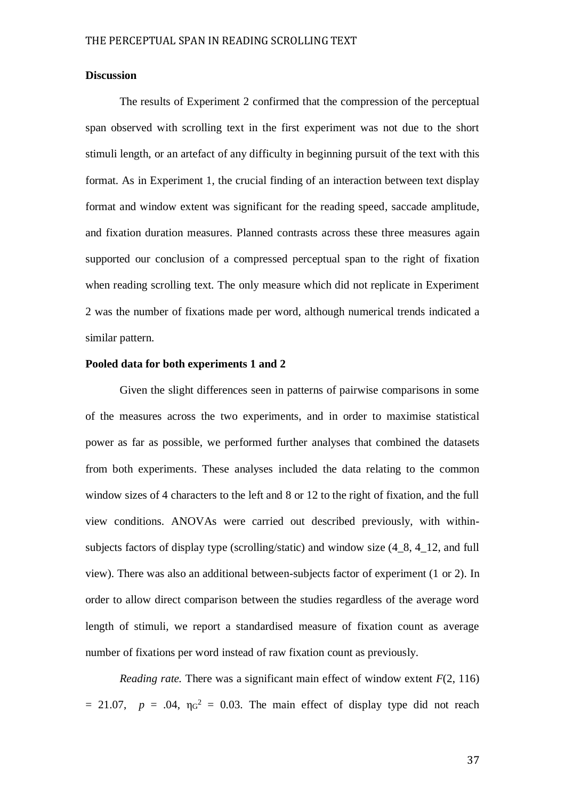## **Discussion**

The results of Experiment 2 confirmed that the compression of the perceptual span observed with scrolling text in the first experiment was not due to the short stimuli length, or an artefact of any difficulty in beginning pursuit of the text with this format. As in Experiment 1, the crucial finding of an interaction between text display format and window extent was significant for the reading speed, saccade amplitude, and fixation duration measures. Planned contrasts across these three measures again supported our conclusion of a compressed perceptual span to the right of fixation when reading scrolling text. The only measure which did not replicate in Experiment 2 was the number of fixations made per word, although numerical trends indicated a similar pattern.

## **Pooled data for both experiments 1 and 2**

Given the slight differences seen in patterns of pairwise comparisons in some of the measures across the two experiments, and in order to maximise statistical power as far as possible, we performed further analyses that combined the datasets from both experiments. These analyses included the data relating to the common window sizes of 4 characters to the left and 8 or 12 to the right of fixation, and the full view conditions. ANOVAs were carried out described previously, with withinsubjects factors of display type (scrolling/static) and window size  $(4\ 8, 4\ 12,$  and full view). There was also an additional between-subjects factor of experiment (1 or 2). In order to allow direct comparison between the studies regardless of the average word length of stimuli, we report a standardised measure of fixation count as average number of fixations per word instead of raw fixation count as previously.

*Reading rate.* There was a significant main effect of window extent  $F(2, 116)$  $= 21.07$ ,  $p = .04$ ,  $\eta$ <sup>2</sup> = 0.03. The main effect of display type did not reach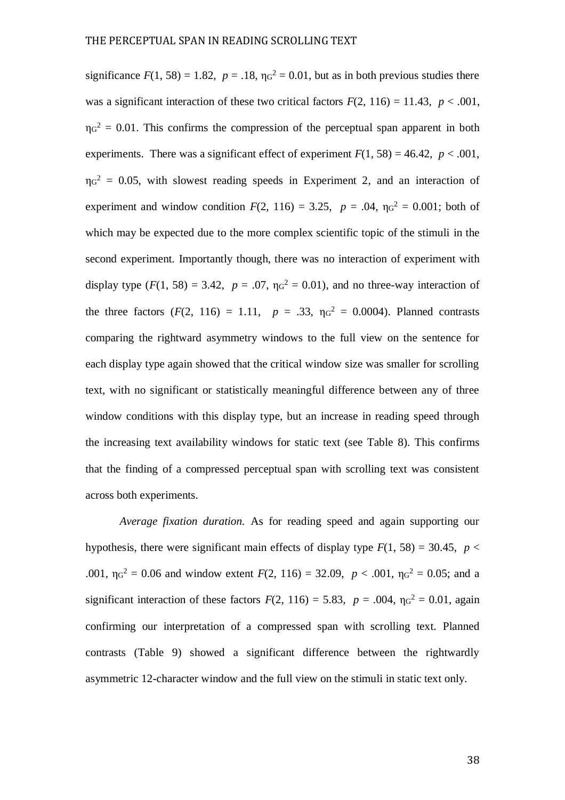significance  $F(1, 58) = 1.82$ ,  $p = .18$ ,  $\eta g^2 = 0.01$ , but as in both previous studies there was a significant interaction of these two critical factors  $F(2, 116) = 11.43$ ,  $p < .001$ ,  $\eta_0^2 = 0.01$ . This confirms the compression of the perceptual span apparent in both experiments. There was a significant effect of experiment  $F(1, 58) = 46.42$ ,  $p < .001$ ,  $\eta$ <sup>2</sup> = 0.05, with slowest reading speeds in Experiment 2, and an interaction of experiment and window condition  $F(2, 116) = 3.25$ ,  $p = .04$ ,  $\eta_0^2 = 0.001$ ; both of which may be expected due to the more complex scientific topic of the stimuli in the second experiment. Importantly though, there was no interaction of experiment with display type  $(F(1, 58) = 3.42, p = .07, \eta_0^2 = 0.01)$ , and no three-way interaction of the three factors  $(F(2, 116) = 1.11, p = .33, \eta_0^2 = 0.0004)$ . Planned contrasts comparing the rightward asymmetry windows to the full view on the sentence for each display type again showed that the critical window size was smaller for scrolling text, with no significant or statistically meaningful difference between any of three window conditions with this display type, but an increase in reading speed through the increasing text availability windows for static text (see Table 8). This confirms that the finding of a compressed perceptual span with scrolling text was consistent across both experiments.

*Average fixation duration.* As for reading speed and again supporting our hypothesis, there were significant main effects of display type  $F(1, 58) = 30.45$ ,  $p <$ .001,  $\eta g^2 = 0.06$  and window extent  $F(2, 116) = 32.09$ ,  $p < .001$ ,  $\eta g^2 = 0.05$ ; and a significant interaction of these factors  $F(2, 116) = 5.83$ ,  $p = .004$ ,  $\eta g^2 = 0.01$ , again confirming our interpretation of a compressed span with scrolling text. Planned contrasts (Table 9) showed a significant difference between the rightwardly asymmetric 12-character window and the full view on the stimuli in static text only.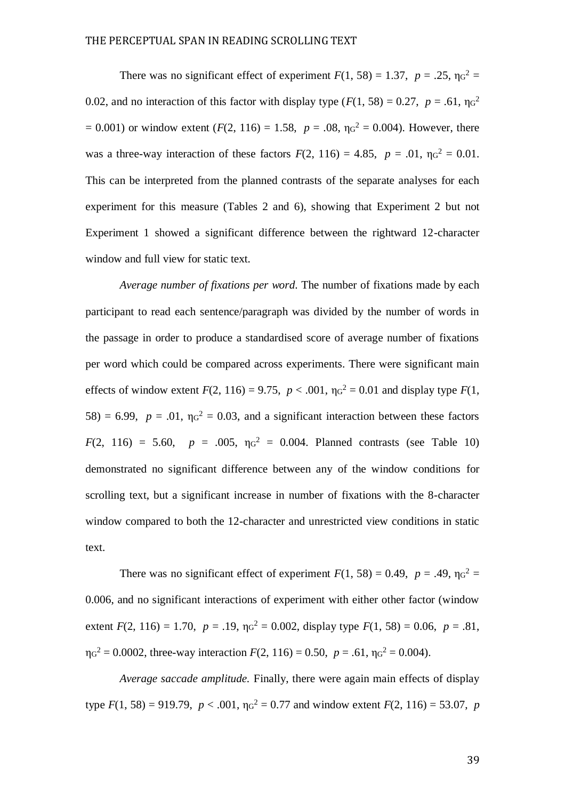There was no significant effect of experiment  $F(1, 58) = 1.37$ ,  $p = .25$ ,  $\eta g^2 =$ 0.02, and no interaction of this factor with display type  $(F(1, 58) = 0.27, p = .61, \eta_0^2)$  $= 0.001$ ) or window extent (*F*(2, 116) = 1.58,  $p = .08$ ,  $\eta g^2 = 0.004$ ). However, there was a three-way interaction of these factors  $F(2, 116) = 4.85$ ,  $p = .01$ ,  $\eta q^2 = 0.01$ . This can be interpreted from the planned contrasts of the separate analyses for each experiment for this measure (Tables 2 and 6), showing that Experiment 2 but not Experiment 1 showed a significant difference between the rightward 12-character window and full view for static text.

*Average number of fixations per word.* The number of fixations made by each participant to read each sentence/paragraph was divided by the number of words in the passage in order to produce a standardised score of average number of fixations per word which could be compared across experiments. There were significant main effects of window extent  $F(2, 116) = 9.75$ ,  $p < .001$ ,  $\eta q^2 = 0.01$  and display type  $F(1, 16) = 9.75$  $58$ ) = 6.99,  $p = .01$ ,  $\eta$ <sup>2</sup> = 0.03, and a significant interaction between these factors  $F(2, 116) = 5.60, p = .005, \eta_0^2 = 0.004$ . Planned contrasts (see Table 10) demonstrated no significant difference between any of the window conditions for scrolling text, but a significant increase in number of fixations with the 8-character window compared to both the 12-character and unrestricted view conditions in static text.

There was no significant effect of experiment  $F(1, 58) = 0.49$ ,  $p = .49$ ,  $\eta \sigma^2 =$ 0.006, and no significant interactions of experiment with either other factor (window extent  $F(2, 116) = 1.70$ ,  $p = .19$ ,  $\eta_0^2 = 0.002$ , display type  $F(1, 58) = 0.06$ ,  $p = .81$ ,  $\eta_0^2 = 0.0002$ , three-way interaction  $F(2, 116) = 0.50$ ,  $p = .61$ ,  $\eta_0^2 = 0.004$ ).

*Average saccade amplitude.* Finally, there were again main effects of display type  $F(1, 58) = 919.79$ ,  $p < .001$ ,  $\eta_0^2 = 0.77$  and window extent  $F(2, 116) = 53.07$ , p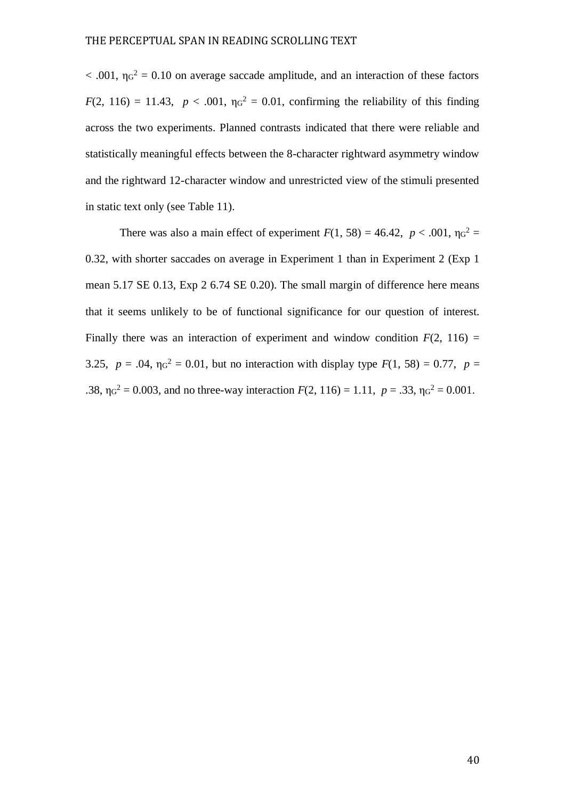$< .001$ ,  $\eta q^2 = 0.10$  on average saccade amplitude, and an interaction of these factors  $F(2, 116) = 11.43$ ,  $p < .001$ ,  $\eta q^2 = 0.01$ , confirming the reliability of this finding across the two experiments. Planned contrasts indicated that there were reliable and statistically meaningful effects between the 8-character rightward asymmetry window and the rightward 12-character window and unrestricted view of the stimuli presented in static text only (see Table 11).

There was also a main effect of experiment  $F(1, 58) = 46.42$ ,  $p < .001$ ,  $\eta g^2 =$ 0.32, with shorter saccades on average in Experiment 1 than in Experiment 2 (Exp 1 mean 5.17 SE 0.13, Exp 2 6.74 SE 0.20). The small margin of difference here means that it seems unlikely to be of functional significance for our question of interest. Finally there was an interaction of experiment and window condition  $F(2, 116) =$ 3.25,  $p = .04$ ,  $\eta q^2 = 0.01$ , but no interaction with display type  $F(1, 58) = 0.77$ ,  $p =$ .38,  $\eta q^2 = 0.003$ , and no three-way interaction  $F(2, 116) = 1.11$ ,  $p = .33$ ,  $\eta q^2 = 0.001$ .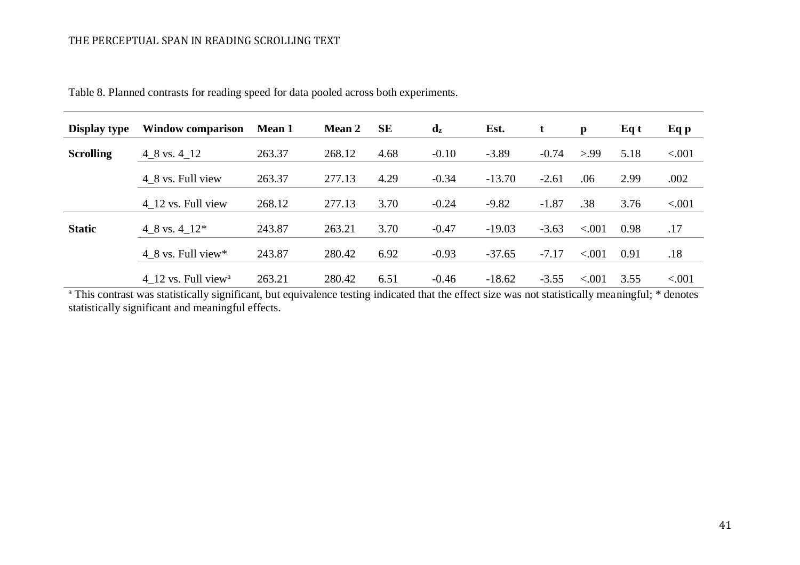| Display type     | <b>Window comparison</b>        | <b>Mean 1</b> | <b>Mean 2</b> | <b>SE</b> | $\mathbf{d}_{\mathbf{z}}$ | Est.     | t       | p       | Eq t | Eq p   |
|------------------|---------------------------------|---------------|---------------|-----------|---------------------------|----------|---------|---------|------|--------|
| <b>Scrolling</b> | 4 8 vs. 4 12                    | 263.37        | 268.12        | 4.68      | $-0.10$                   | $-3.89$  | $-0.74$ | > 99    | 5.18 | < .001 |
|                  | 4 8 vs. Full view               | 263.37        | 277.13        | 4.29      | $-0.34$                   | $-13.70$ | $-2.61$ | .06     | 2.99 | .002   |
|                  | 4 12 vs. Full view              | 268.12        | 277.13        | 3.70      | $-0.24$                   | $-9.82$  | $-1.87$ | .38     | 3.76 | < .001 |
| <b>Static</b>    | 4 8 vs. 4 $12*$                 | 243.87        | 263.21        | 3.70      | $-0.47$                   | $-19.03$ | $-3.63$ | < .001  | 0.98 | .17    |
|                  | 4 8 vs. Full view*              | 243.87        | 280.42        | 6.92      | $-0.93$                   | $-37.65$ | $-7.17$ | < 0.001 | 0.91 | .18    |
|                  | 4 12 vs. Full view <sup>a</sup> | 263.21        | 280.42        | 6.51      | $-0.46$                   | $-18.62$ | $-3.55$ | < .001  | 3.55 | < .001 |

Table 8. Planned contrasts for reading speed for data pooled across both experiments.

<sup>a</sup> This contrast was statistically significant, but equivalence testing indicated that the effect size was not statistically meaningful; \* denotes statistically significant and meaningful effects.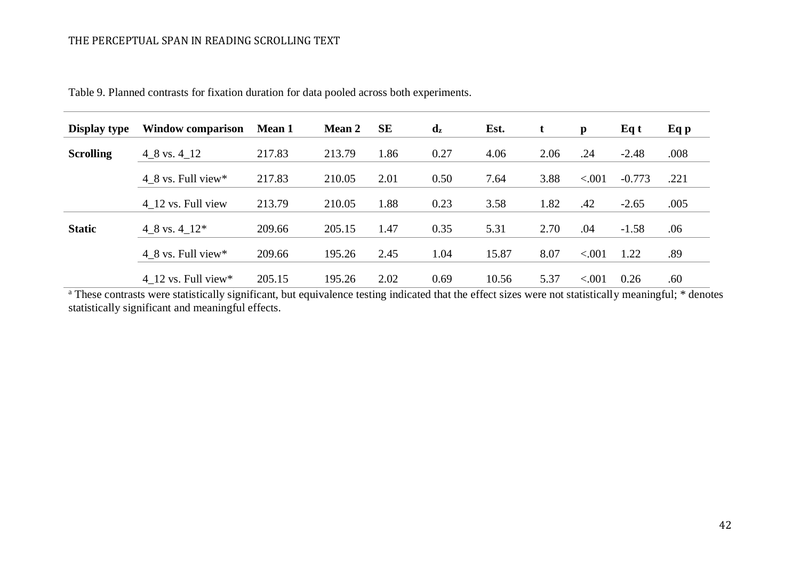| <b>Display type</b> | <b>Window comparison</b> | <b>Mean 1</b> | <b>Mean 2</b> | <b>SE</b> | $\mathbf{d}_{\mathbf{z}}$ | Est.  | t    | $\mathbf{p}$ | Eq t     | Eq p |
|---------------------|--------------------------|---------------|---------------|-----------|---------------------------|-------|------|--------------|----------|------|
| <b>Scrolling</b>    | $4\_8$ vs. $4\_12$       | 217.83        | 213.79        | 1.86      | 0.27                      | 4.06  | 2.06 | .24          | $-2.48$  | .008 |
|                     | 4 8 vs. Full view $*$    | 217.83        | 210.05        | 2.01      | 0.50                      | 7.64  | 3.88 | < 0.001      | $-0.773$ | .221 |
|                     | 4 12 vs. Full view       | 213.79        | 210.05        | 1.88      | 0.23                      | 3.58  | 1.82 | .42          | $-2.65$  | .005 |
| <b>Static</b>       | 4 8 vs. $4-12*$          | 209.66        | 205.15        | 1.47      | 0.35                      | 5.31  | 2.70 | .04          | $-1.58$  | .06  |
|                     | 4 8 vs. Full view $*$    | 209.66        | 195.26        | 2.45      | 1.04                      | 15.87 | 8.07 | < 0.001      | 1.22     | .89  |
|                     | 4 12 vs. Full view*      | 205.15        | 195.26        | 2.02      | 0.69                      | 10.56 | 5.37 | < .001       | 0.26     | .60  |

Table 9. Planned contrasts for fixation duration for data pooled across both experiments.

<sup>a</sup> These contrasts were statistically significant, but equivalence testing indicated that the effect sizes were not statistically meaningful; \* denotes statistically significant and meaningful effects.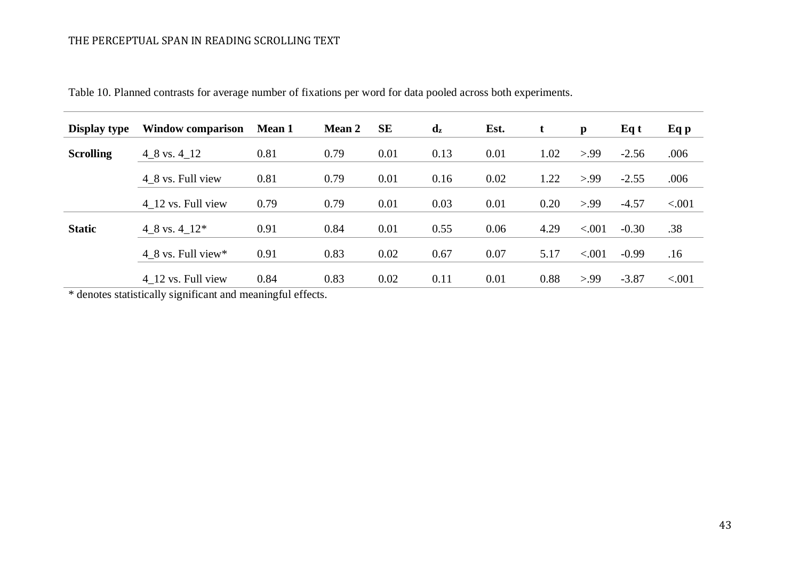| <b>Display type</b> | Window comparison            | <b>Mean 1</b> | <b>Mean 2</b> | <b>SE</b> | $\mathbf{d}_{\mathbf{z}}$ | Est. | t    | $\mathbf{p}$ | Eq t    | Eq p   |
|---------------------|------------------------------|---------------|---------------|-----------|---------------------------|------|------|--------------|---------|--------|
| <b>Scrolling</b>    | $4\_8$ vs. $4\_12$           | 0.81          | 0.79          | 0.01      | 0.13                      | 0.01 | 1.02 | > 99         | $-2.56$ | .006   |
|                     | 4 8 vs. Full view            | 0.81          | 0.79          | 0.01      | 0.16                      | 0.02 | 1.22 | > 99         | $-2.55$ | .006   |
|                     | 4 12 vs. Full view           | 0.79          | 0.79          | 0.01      | 0.03                      | 0.01 | 0.20 | > 99         | $-4.57$ | < .001 |
| <b>Static</b>       | 4_8 vs. $4$ _12 <sup>*</sup> | 0.91          | 0.84          | 0.01      | 0.55                      | 0.06 | 4.29 | < .001       | $-0.30$ | .38    |
|                     | 4 8 vs. Full view $*$        | 0.91          | 0.83          | 0.02      | 0.67                      | 0.07 | 5.17 | < .001       | $-0.99$ | .16    |
|                     | 4 12 vs. Full view           | 0.84          | 0.83          | 0.02      | 0.11                      | 0.01 | 0.88 | > 99         | $-3.87$ | < .001 |

Table 10. Planned contrasts for average number of fixations per word for data pooled across both experiments.

\* denotes statistically significant and meaningful effects.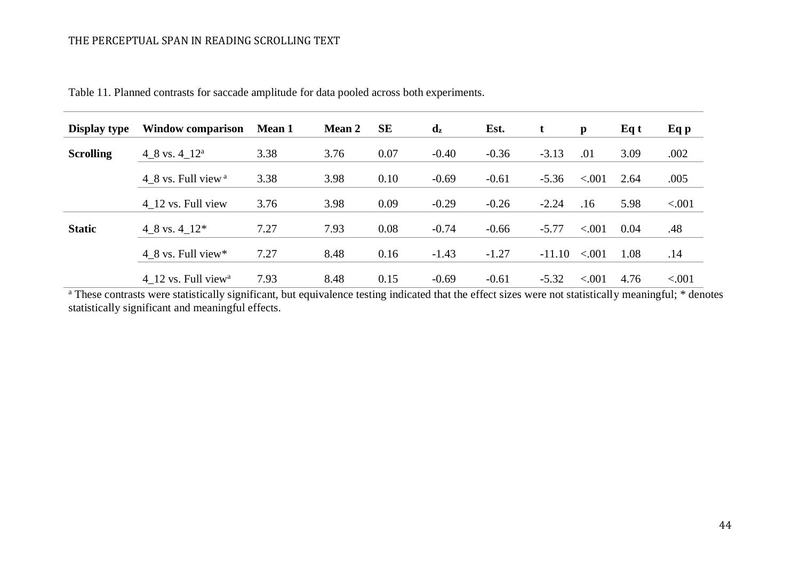| Display type     | <b>Window comparison</b>        | <b>Mean 1</b> | <b>Mean 2</b> | <b>SE</b> | $\mathbf{d}_{\mathbf{z}}$ | Est.    | t        | $\mathbf{p}$ | Eq t | Eq p   |
|------------------|---------------------------------|---------------|---------------|-----------|---------------------------|---------|----------|--------------|------|--------|
| <b>Scrolling</b> | 4 8 vs. 4 $12^a$                | 3.38          | 3.76          | 0.07      | $-0.40$                   | $-0.36$ | $-3.13$  | .01          | 3.09 | .002   |
|                  | 4 8 vs. Full view <sup>a</sup>  | 3.38          | 3.98          | 0.10      | $-0.69$                   | $-0.61$ | $-5.36$  | < 0.001      | 2.64 | .005   |
|                  | 4 12 vs. Full view              | 3.76          | 3.98          | 0.09      | $-0.29$                   | $-0.26$ | $-2.24$  | .16          | 5.98 | < .001 |
| <b>Static</b>    | 4 8 vs. $4-12*$                 | 7.27          | 7.93          | 0.08      | $-0.74$                   | $-0.66$ | $-5.77$  | < .001       | 0.04 | .48    |
|                  | 4 8 vs. Full view*              | 7.27          | 8.48          | 0.16      | $-1.43$                   | $-1.27$ | $-11.10$ | < 0.001      | 1.08 | .14    |
|                  | 4 12 vs. Full view <sup>a</sup> | 7.93          | 8.48          | 0.15      | $-0.69$                   | $-0.61$ | $-5.32$  | < 0.001      | 4.76 | < .001 |

Table 11. Planned contrasts for saccade amplitude for data pooled across both experiments.

<sup>a</sup> These contrasts were statistically significant, but equivalence testing indicated that the effect sizes were not statistically meaningful; \* denotes statistically significant and meaningful effects.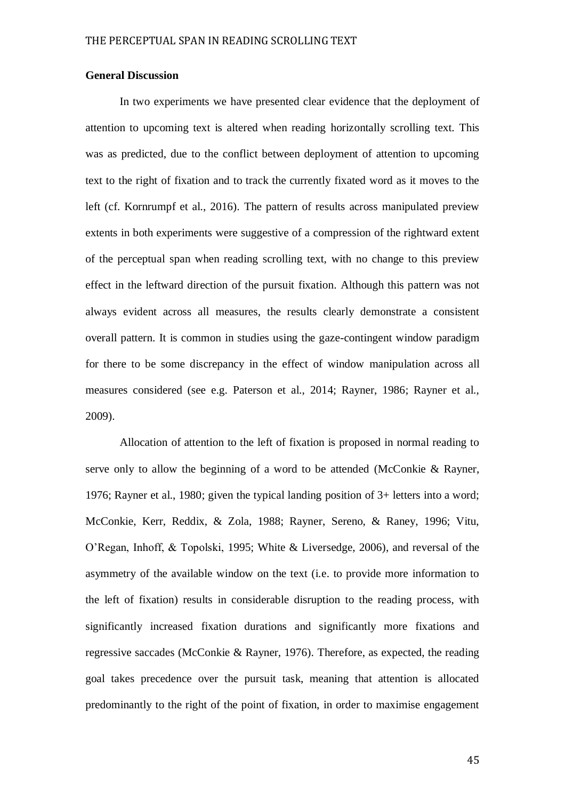## **General Discussion**

In two experiments we have presented clear evidence that the deployment of attention to upcoming text is altered when reading horizontally scrolling text. This was as predicted, due to the conflict between deployment of attention to upcoming text to the right of fixation and to track the currently fixated word as it moves to the left (cf. Kornrumpf et al., 2016). The pattern of results across manipulated preview extents in both experiments were suggestive of a compression of the rightward extent of the perceptual span when reading scrolling text, with no change to this preview effect in the leftward direction of the pursuit fixation. Although this pattern was not always evident across all measures, the results clearly demonstrate a consistent overall pattern. It is common in studies using the gaze-contingent window paradigm for there to be some discrepancy in the effect of window manipulation across all measures considered (see e.g. Paterson et al., 2014; Rayner, 1986; Rayner et al., 2009).

Allocation of attention to the left of fixation is proposed in normal reading to serve only to allow the beginning of a word to be attended (McConkie & Rayner, 1976; Rayner et al., 1980; given the typical landing position of 3+ letters into a word; McConkie, Kerr, Reddix, & Zola, 1988; Rayner, Sereno, & Raney, 1996; Vitu, O'Regan, Inhoff, & Topolski, 1995; White & Liversedge, 2006), and reversal of the asymmetry of the available window on the text (i.e. to provide more information to the left of fixation) results in considerable disruption to the reading process, with significantly increased fixation durations and significantly more fixations and regressive saccades (McConkie & Rayner, 1976). Therefore, as expected, the reading goal takes precedence over the pursuit task, meaning that attention is allocated predominantly to the right of the point of fixation, in order to maximise engagement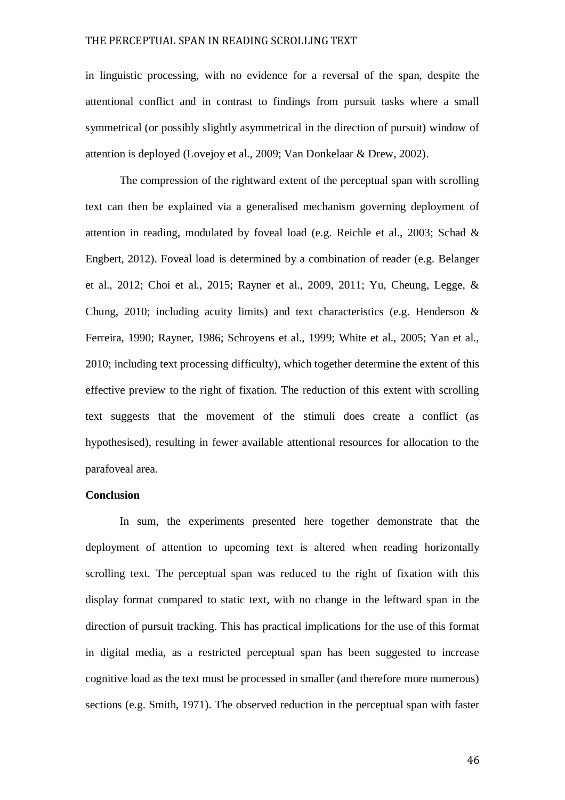in linguistic processing, with no evidence for a reversal of the span, despite the attentional conflict and in contrast to findings from pursuit tasks where a small symmetrical (or possibly slightly asymmetrical in the direction of pursuit) window of attention is deployed (Lovejoy et al., 2009; Van Donkelaar & Drew, 2002).

The compression of the rightward extent of the perceptual span with scrolling text can then be explained via a generalised mechanism governing deployment of attention in reading, modulated by foveal load (e.g. Reichle et al., 2003; Schad & Engbert, 2012). Foveal load is determined by a combination of reader (e.g. Belanger et al., 2012; Choi et al., 2015; Rayner et al., 2009, 2011; Yu, Cheung, Legge, & Chung, 2010; including acuity limits) and text characteristics (e.g. Henderson & Ferreira, 1990; Rayner, 1986; Schroyens et al., 1999; White et al., 2005; Yan et al., 2010; including text processing difficulty), which together determine the extent of this effective preview to the right of fixation. The reduction of this extent with scrolling text suggests that the movement of the stimuli does create a conflict (as hypothesised), resulting in fewer available attentional resources for allocation to the parafoveal area.

## **Conclusion**

In sum, the experiments presented here together demonstrate that the deployment of attention to upcoming text is altered when reading horizontally scrolling text. The perceptual span was reduced to the right of fixation with this display format compared to static text, with no change in the leftward span in the direction of pursuit tracking. This has practical implications for the use of this format in digital media, as a restricted perceptual span has been suggested to increase cognitive load as the text must be processed in smaller (and therefore more numerous) sections (e.g. Smith, 1971). The observed reduction in the perceptual span with faster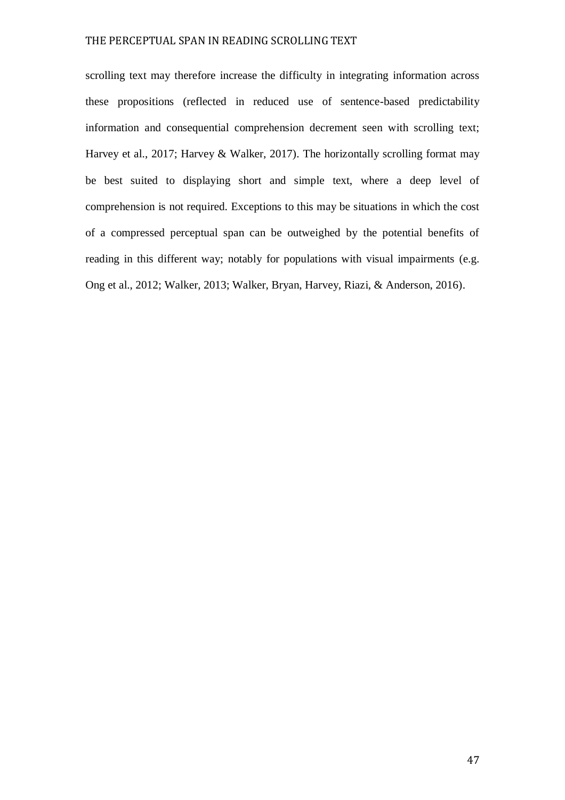scrolling text may therefore increase the difficulty in integrating information across these propositions (reflected in reduced use of sentence-based predictability information and consequential comprehension decrement seen with scrolling text; Harvey et al., 2017; Harvey & Walker, 2017). The horizontally scrolling format may be best suited to displaying short and simple text, where a deep level of comprehension is not required. Exceptions to this may be situations in which the cost of a compressed perceptual span can be outweighed by the potential benefits of reading in this different way; notably for populations with visual impairments (e.g. Ong et al., 2012; Walker, 2013; Walker, Bryan, Harvey, Riazi, & Anderson, 2016).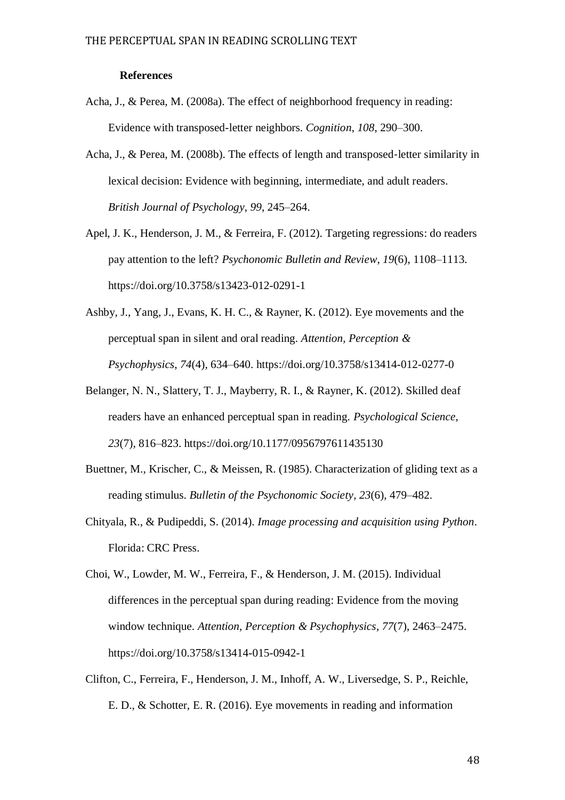#### **References**

- Acha, J., & Perea, M. (2008a). The effect of neighborhood frequency in reading: Evidence with transposed-letter neighbors. *Cognition*, *108*, 290–300.
- Acha, J., & Perea, M. (2008b). The effects of length and transposed‐letter similarity in lexical decision: Evidence with beginning, intermediate, and adult readers. *British Journal of Psychology*, *99*, 245–264.
- Apel, J. K., Henderson, J. M., & Ferreira, F. (2012). Targeting regressions: do readers pay attention to the left? *Psychonomic Bulletin and Review*, *19*(6), 1108–1113. https://doi.org/10.3758/s13423-012-0291-1
- Ashby, J., Yang, J., Evans, K. H. C., & Rayner, K. (2012). Eye movements and the perceptual span in silent and oral reading. *Attention, Perception & Psychophysics*, *74*(4), 634–640. https://doi.org/10.3758/s13414-012-0277-0
- Belanger, N. N., Slattery, T. J., Mayberry, R. I., & Rayner, K. (2012). Skilled deaf readers have an enhanced perceptual span in reading. *Psychological Science*, *23*(7), 816–823. https://doi.org/10.1177/0956797611435130
- Buettner, M., Krischer, C., & Meissen, R. (1985). Characterization of gliding text as a reading stimulus. *Bulletin of the Psychonomic Society*, *23*(6), 479–482.
- Chityala, R., & Pudipeddi, S. (2014). *Image processing and acquisition using Python*. Florida: CRC Press.
- Choi, W., Lowder, M. W., Ferreira, F., & Henderson, J. M. (2015). Individual differences in the perceptual span during reading: Evidence from the moving window technique. *Attention, Perception & Psychophysics*, *77*(7), 2463–2475. https://doi.org/10.3758/s13414-015-0942-1
- Clifton, C., Ferreira, F., Henderson, J. M., Inhoff, A. W., Liversedge, S. P., Reichle, E. D., & Schotter, E. R. (2016). Eye movements in reading and information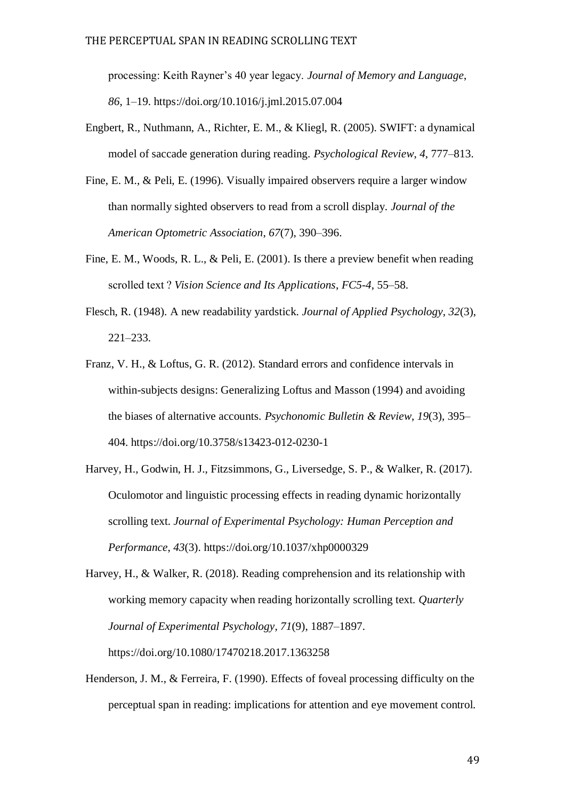processing: Keith Rayner's 40 year legacy. *Journal of Memory and Language*, *86*, 1–19. https://doi.org/10.1016/j.jml.2015.07.004

- Engbert, R., Nuthmann, A., Richter, E. M., & Kliegl, R. (2005). SWIFT: a dynamical model of saccade generation during reading. *Psychological Review*, *4*, 777–813.
- Fine, E. M., & Peli, E. (1996). Visually impaired observers require a larger window than normally sighted observers to read from a scroll display. *Journal of the American Optometric Association*, *67*(7), 390–396.
- Fine, E. M., Woods, R. L., & Peli, E. (2001). Is there a preview benefit when reading scrolled text ? *Vision Science and Its Applications*, *FC5*-*4*, 55–58.
- Flesch, R. (1948). A new readability yardstick. *Journal of Applied Psychology*, *32*(3), 221–233.
- Franz, V. H., & Loftus, G. R. (2012). Standard errors and confidence intervals in within-subjects designs: Generalizing Loftus and Masson (1994) and avoiding the biases of alternative accounts. *Psychonomic Bulletin & Review*, *19*(3), 395– 404. https://doi.org/10.3758/s13423-012-0230-1
- Harvey, H., Godwin, H. J., Fitzsimmons, G., Liversedge, S. P., & Walker, R. (2017). Oculomotor and linguistic processing effects in reading dynamic horizontally scrolling text. *Journal of Experimental Psychology: Human Perception and Performance*, *43*(3). https://doi.org/10.1037/xhp0000329

Harvey, H., & Walker, R. (2018). Reading comprehension and its relationship with working memory capacity when reading horizontally scrolling text. *Quarterly Journal of Experimental Psychology*, *71*(9), 1887–1897. https://doi.org/10.1080/17470218.2017.1363258

Henderson, J. M., & Ferreira, F. (1990). Effects of foveal processing difficulty on the perceptual span in reading: implications for attention and eye movement control.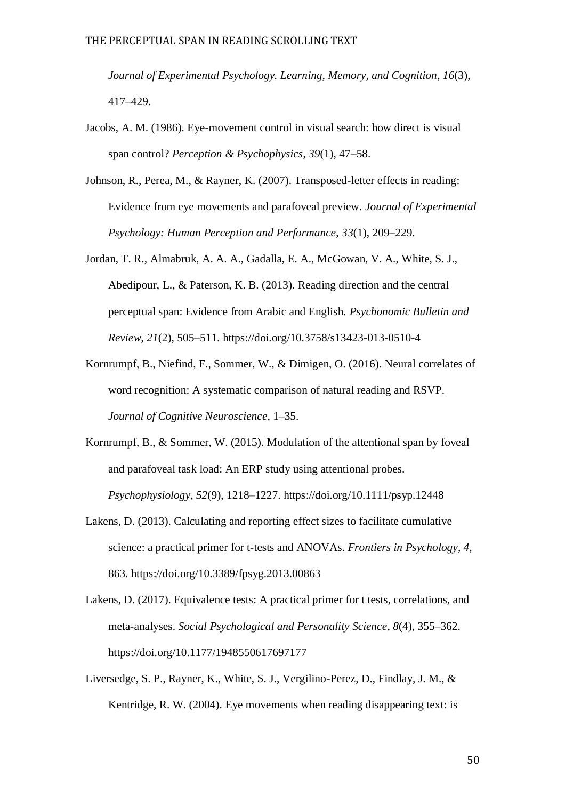*Journal of Experimental Psychology. Learning, Memory, and Cognition*, *16*(3), 417–429.

- Jacobs, A. M. (1986). Eye-movement control in visual search: how direct is visual span control? *Perception & Psychophysics*, *39*(1), 47–58.
- Johnson, R., Perea, M., & Rayner, K. (2007). Transposed-letter effects in reading: Evidence from eye movements and parafoveal preview. *Journal of Experimental Psychology: Human Perception and Performance*, *33*(1), 209–229.
- Jordan, T. R., Almabruk, A. A. A., Gadalla, E. A., McGowan, V. A., White, S. J., Abedipour, L., & Paterson, K. B. (2013). Reading direction and the central perceptual span: Evidence from Arabic and English. *Psychonomic Bulletin and Review*, *21*(2), 505–511. https://doi.org/10.3758/s13423-013-0510-4
- Kornrumpf, B., Niefind, F., Sommer, W., & Dimigen, O. (2016). Neural correlates of word recognition: A systematic comparison of natural reading and RSVP. *Journal of Cognitive Neuroscience*, 1–35.
- Kornrumpf, B., & Sommer, W. (2015). Modulation of the attentional span by foveal and parafoveal task load: An ERP study using attentional probes. *Psychophysiology*, *52*(9), 1218–1227. https://doi.org/10.1111/psyp.12448
- Lakens, D. (2013). Calculating and reporting effect sizes to facilitate cumulative science: a practical primer for t-tests and ANOVAs. *Frontiers in Psychology*, *4*, 863. https://doi.org/10.3389/fpsyg.2013.00863
- Lakens, D. (2017). Equivalence tests: A practical primer for t tests, correlations, and meta-analyses. *Social Psychological and Personality Science*, *8*(4), 355–362. https://doi.org/10.1177/1948550617697177
- Liversedge, S. P., Rayner, K., White, S. J., Vergilino-Perez, D., Findlay, J. M., & Kentridge, R. W. (2004). Eye movements when reading disappearing text: is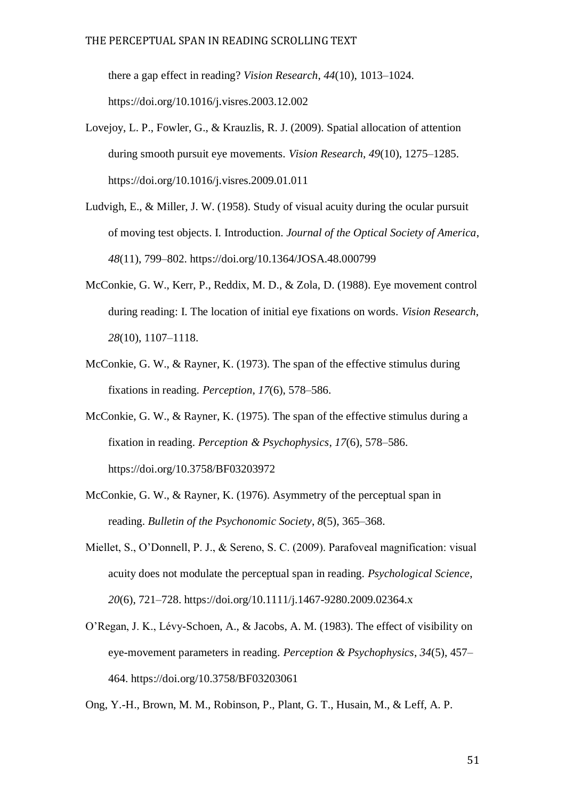there a gap effect in reading? *Vision Research*, *44*(10), 1013–1024. https://doi.org/10.1016/j.visres.2003.12.002

- Lovejoy, L. P., Fowler, G., & Krauzlis, R. J. (2009). Spatial allocation of attention during smooth pursuit eye movements. *Vision Research*, *49*(10), 1275–1285. https://doi.org/10.1016/j.visres.2009.01.011
- Ludvigh, E., & Miller, J. W. (1958). Study of visual acuity during the ocular pursuit of moving test objects. I. Introduction. *Journal of the Optical Society of America*, *48*(11), 799–802. https://doi.org/10.1364/JOSA.48.000799
- McConkie, G. W., Kerr, P., Reddix, M. D., & Zola, D. (1988). Eye movement control during reading: I. The location of initial eye fixations on words. *Vision Research*, *28*(10), 1107–1118.
- McConkie, G. W., & Rayner, K. (1973). The span of the effective stimulus during fixations in reading. *Perception*, *17*(6), 578–586.
- McConkie, G. W., & Rayner, K. (1975). The span of the effective stimulus during a fixation in reading. *Perception & Psychophysics*, *17*(6), 578–586. https://doi.org/10.3758/BF03203972
- McConkie, G. W., & Rayner, K. (1976). Asymmetry of the perceptual span in reading. *Bulletin of the Psychonomic Society*, *8*(5), 365–368.
- Miellet, S., O'Donnell, P. J., & Sereno, S. C. (2009). Parafoveal magnification: visual acuity does not modulate the perceptual span in reading. *Psychological Science*, *20*(6), 721–728. https://doi.org/10.1111/j.1467-9280.2009.02364.x
- O'Regan, J. K., Lévy-Schoen, A., & Jacobs, A. M. (1983). The effect of visibility on eye-movement parameters in reading. *Perception & Psychophysics*, *34*(5), 457– 464. https://doi.org/10.3758/BF03203061

Ong, Y.-H., Brown, M. M., Robinson, P., Plant, G. T., Husain, M., & Leff, A. P.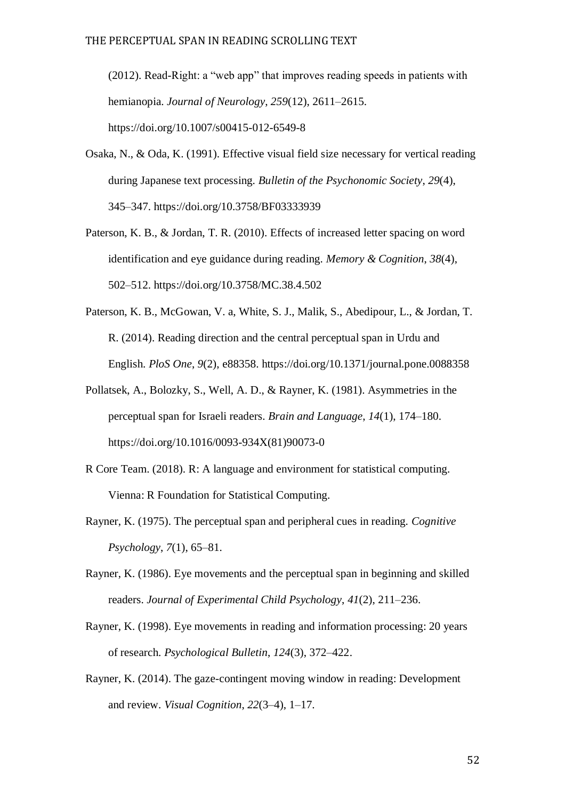(2012). Read-Right: a "web app" that improves reading speeds in patients with hemianopia. *Journal of Neurology*, *259*(12), 2611–2615. https://doi.org/10.1007/s00415-012-6549-8

- Osaka, N., & Oda, K. (1991). Effective visual field size necessary for vertical reading during Japanese text processing. *Bulletin of the Psychonomic Society*, *29*(4), 345–347. https://doi.org/10.3758/BF03333939
- Paterson, K. B., & Jordan, T. R. (2010). Effects of increased letter spacing on word identification and eye guidance during reading. *Memory & Cognition*, *38*(4), 502–512. https://doi.org/10.3758/MC.38.4.502
- Paterson, K. B., McGowan, V. a, White, S. J., Malik, S., Abedipour, L., & Jordan, T. R. (2014). Reading direction and the central perceptual span in Urdu and English. *PloS One*, *9*(2), e88358. https://doi.org/10.1371/journal.pone.0088358
- Pollatsek, A., Bolozky, S., Well, A. D., & Rayner, K. (1981). Asymmetries in the perceptual span for Israeli readers. *Brain and Language*, *14*(1), 174–180. https://doi.org/10.1016/0093-934X(81)90073-0
- R Core Team. (2018). R: A language and environment for statistical computing. Vienna: R Foundation for Statistical Computing.
- Rayner, K. (1975). The perceptual span and peripheral cues in reading. *Cognitive Psychology*, *7*(1), 65–81.
- Rayner, K. (1986). Eye movements and the perceptual span in beginning and skilled readers. *Journal of Experimental Child Psychology*, *41*(2), 211–236.
- Rayner, K. (1998). Eye movements in reading and information processing: 20 years of research. *Psychological Bulletin*, *124*(3), 372–422.
- Rayner, K. (2014). The gaze-contingent moving window in reading: Development and review. *Visual Cognition*, *22*(3–4), 1–17.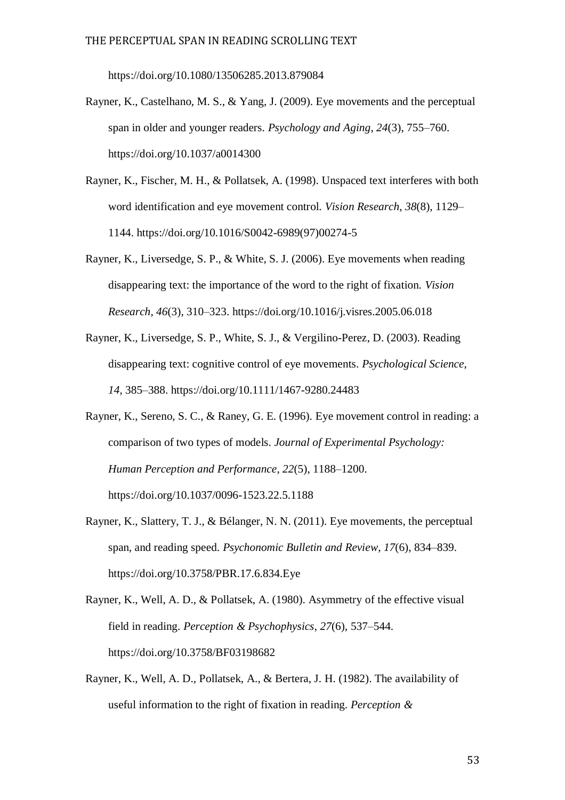https://doi.org/10.1080/13506285.2013.879084

- Rayner, K., Castelhano, M. S., & Yang, J. (2009). Eye movements and the perceptual span in older and younger readers. *Psychology and Aging*, *24*(3), 755–760. https://doi.org/10.1037/a0014300
- Rayner, K., Fischer, M. H., & Pollatsek, A. (1998). Unspaced text interferes with both word identification and eye movement control. *Vision Research*, *38*(8), 1129– 1144. https://doi.org/10.1016/S0042-6989(97)00274-5
- Rayner, K., Liversedge, S. P., & White, S. J. (2006). Eye movements when reading disappearing text: the importance of the word to the right of fixation. *Vision Research*, *46*(3), 310–323. https://doi.org/10.1016/j.visres.2005.06.018
- Rayner, K., Liversedge, S. P., White, S. J., & Vergilino-Perez, D. (2003). Reading disappearing text: cognitive control of eye movements. *Psychological Science*, *14*, 385–388. https://doi.org/10.1111/1467-9280.24483
- Rayner, K., Sereno, S. C., & Raney, G. E. (1996). Eye movement control in reading: a comparison of two types of models. *Journal of Experimental Psychology: Human Perception and Performance*, *22*(5), 1188–1200. https://doi.org/10.1037/0096-1523.22.5.1188
- Rayner, K., Slattery, T. J., & Bélanger, N. N. (2011). Eye movements, the perceptual span, and reading speed. *Psychonomic Bulletin and Review*, *17*(6), 834–839. https://doi.org/10.3758/PBR.17.6.834.Eye
- Rayner, K., Well, A. D., & Pollatsek, A. (1980). Asymmetry of the effective visual field in reading. *Perception & Psychophysics*, *27*(6), 537–544. https://doi.org/10.3758/BF03198682
- Rayner, K., Well, A. D., Pollatsek, A., & Bertera, J. H. (1982). The availability of useful information to the right of fixation in reading. *Perception &*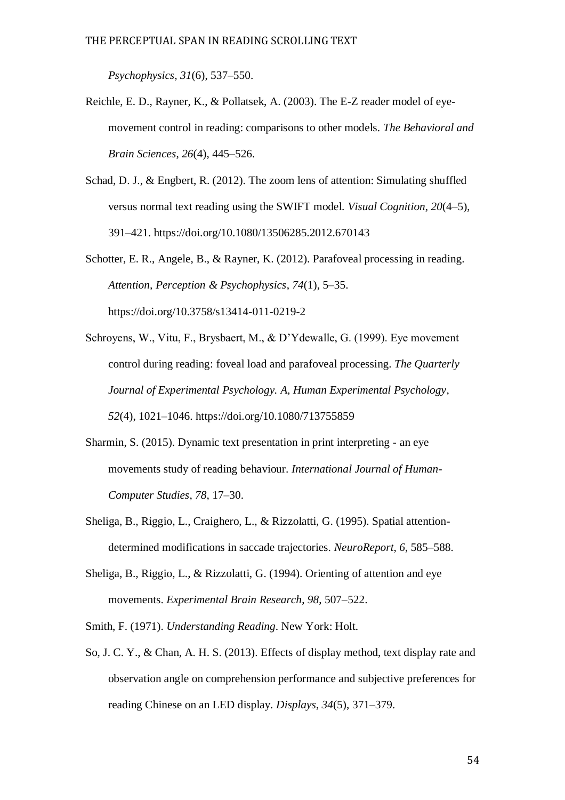*Psychophysics*, *31*(6), 537–550.

- Reichle, E. D., Rayner, K., & Pollatsek, A. (2003). The E-Z reader model of eyemovement control in reading: comparisons to other models. *The Behavioral and Brain Sciences*, *26*(4), 445–526.
- Schad, D. J., & Engbert, R. (2012). The zoom lens of attention: Simulating shuffled versus normal text reading using the SWIFT model. *Visual Cognition*, *20*(4–5), 391–421. https://doi.org/10.1080/13506285.2012.670143
- Schotter, E. R., Angele, B., & Rayner, K. (2012). Parafoveal processing in reading. *Attention, Perception & Psychophysics*, *74*(1), 5–35.

https://doi.org/10.3758/s13414-011-0219-2

- Schroyens, W., Vitu, F., Brysbaert, M., & D'Ydewalle, G. (1999). Eye movement control during reading: foveal load and parafoveal processing. *The Quarterly Journal of Experimental Psychology. A, Human Experimental Psychology*, *52*(4), 1021–1046. https://doi.org/10.1080/713755859
- Sharmin, S. (2015). Dynamic text presentation in print interpreting an eye movements study of reading behaviour. *International Journal of Human-Computer Studies*, *78*, 17–30.
- Sheliga, B., Riggio, L., Craighero, L., & Rizzolatti, G. (1995). Spatial attentiondetermined modifications in saccade trajectories. *NeuroReport*, *6*, 585–588.
- Sheliga, B., Riggio, L., & Rizzolatti, G. (1994). Orienting of attention and eye movements. *Experimental Brain Research*, *98*, 507–522.

Smith, F. (1971). *Understanding Reading*. New York: Holt.

So, J. C. Y., & Chan, A. H. S. (2013). Effects of display method, text display rate and observation angle on comprehension performance and subjective preferences for reading Chinese on an LED display. *Displays*, *34*(5), 371–379.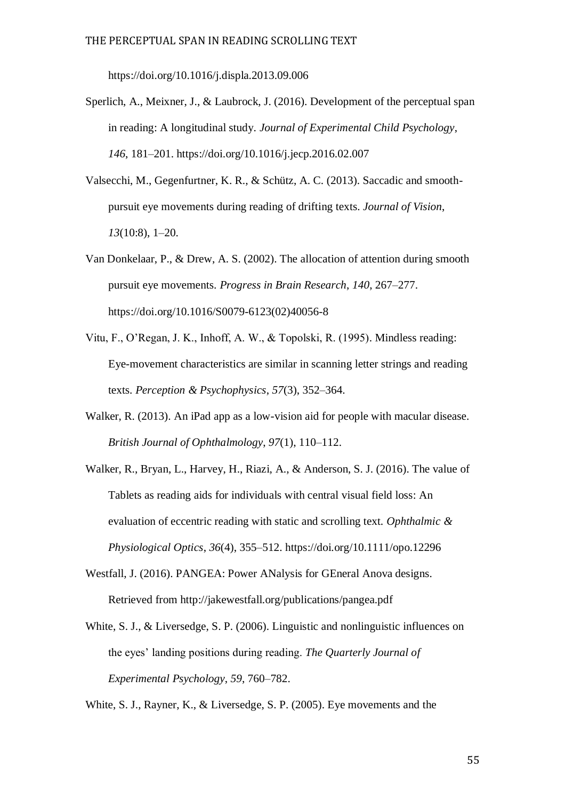https://doi.org/10.1016/j.displa.2013.09.006

- Sperlich, A., Meixner, J., & Laubrock, J. (2016). Development of the perceptual span in reading: A longitudinal study. *Journal of Experimental Child Psychology*, *146*, 181–201. https://doi.org/10.1016/j.jecp.2016.02.007
- Valsecchi, M., Gegenfurtner, K. R., & Schütz, A. C. (2013). Saccadic and smoothpursuit eye movements during reading of drifting texts. *Journal of Vision*, *13*(10:8), 1–20.
- Van Donkelaar, P., & Drew, A. S. (2002). The allocation of attention during smooth pursuit eye movements. *Progress in Brain Research*, *140*, 267–277. https://doi.org/10.1016/S0079-6123(02)40056-8
- Vitu, F., O'Regan, J. K., Inhoff, A. W., & Topolski, R. (1995). Mindless reading: Eye-movement characteristics are similar in scanning letter strings and reading texts. *Perception & Psychophysics*, *57*(3), 352–364.
- Walker, R. (2013). An iPad app as a low-vision aid for people with macular disease. *British Journal of Ophthalmology*, *97*(1), 110–112.
- Walker, R., Bryan, L., Harvey, H., Riazi, A., & Anderson, S. J. (2016). The value of Tablets as reading aids for individuals with central visual field loss: An evaluation of eccentric reading with static and scrolling text. *Ophthalmic & Physiological Optics*, *36*(4), 355–512. https://doi.org/10.1111/opo.12296
- Westfall, J. (2016). PANGEA: Power ANalysis for GEneral Anova designs. Retrieved from http://jakewestfall.org/publications/pangea.pdf
- White, S. J., & Liversedge, S. P. (2006). Linguistic and nonlinguistic influences on the eyes' landing positions during reading. *The Quarterly Journal of Experimental Psychology*, *59*, 760–782.

White, S. J., Rayner, K., & Liversedge, S. P. (2005). Eye movements and the